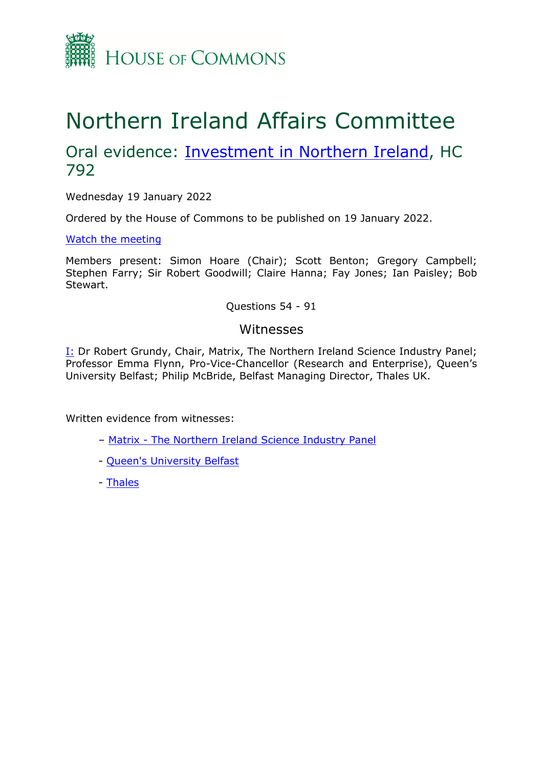

# Northern Ireland Affairs Committee

## Oral evidence: **[Investment](https://committees.parliament.uk/work/1550/investment-in-northern-ireland/) [in](https://committees.parliament.uk/work/1550/investment-in-northern-ireland/) [Northern](https://committees.parliament.uk/work/1550/investment-in-northern-ireland/) [Ireland](https://committees.parliament.uk/work/1550/investment-in-northern-ireland/)**, HC 792

Wednesday 19 January 2022

Ordered by the House of Commons to be published on 19 January 2022.

[Watch](https://www.parliamentlive.tv/Event/Index/0e702e98-0aab-409f-9743-ede2abbbfb13) [the](https://www.parliamentlive.tv/Event/Index/0e702e98-0aab-409f-9743-ede2abbbfb13) [meeting](https://www.parliamentlive.tv/Event/Index/0e702e98-0aab-409f-9743-ede2abbbfb13)

Members present: Simon Hoare (Chair); Scott Benton; Gregory Campbell; Stephen Farry; Sir Robert Goodwill; Claire Hanna; Fay Jones; Ian Paisley; Bob Stewart.

Questions 54 - 91

## Witnesses

[I:](#page-1-0) Dr Robert Grundy, Chair, Matrix, The Northern Ireland Science Industry Panel; Professor Emma Flynn, Pro-Vice-Chancellor (Research and Enterprise), Queen's University Belfast; Philip McBride, Belfast Managing Director, Thales UK.

Written evidence from witnesses:

- [Matrix](https://committees.parliament.uk/writtenevidence/41706/html/) [-](https://committees.parliament.uk/writtenevidence/41706/html/) [The](https://committees.parliament.uk/writtenevidence/41706/html/) [Northern](https://committees.parliament.uk/writtenevidence/41706/html/) [Ireland](https://committees.parliament.uk/writtenevidence/41706/html/) [Science](https://committees.parliament.uk/writtenevidence/41706/html/) [Industry](https://committees.parliament.uk/writtenevidence/41706/html/) [Panel](https://committees.parliament.uk/writtenevidence/41706/html/)
- [Queen's](https://committees.parliament.uk/writtenevidence/41693/html/) [University](https://committees.parliament.uk/writtenevidence/41693/html/) [Belfast](https://committees.parliament.uk/writtenevidence/41693/html/)
- [Thales](https://committees.parliament.uk/writtenevidence/42105/html/)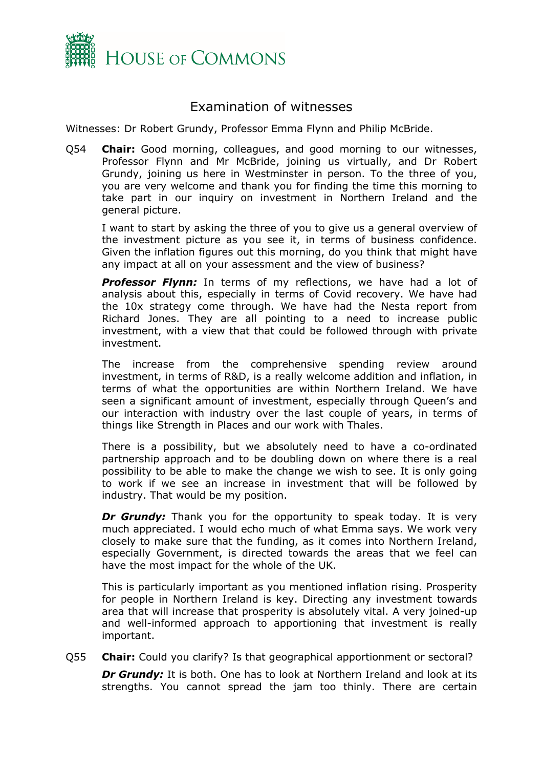

## <span id="page-1-0"></span>Examination of witnesses

Witnesses: Dr Robert Grundy, Professor Emma Flynn and Philip McBride.

Q54 **Chair:** Good morning, colleagues, and good morning to our witnesses, Professor Flynn and Mr McBride, joining us virtually, and Dr Robert Grundy, joining us here in Westminster in person. To the three of you, you are very welcome and thank you for finding the time this morning to take part in our inquiry on investment in Northern Ireland and the general picture.

I want to start by asking the three of you to give us a general overview of the investment picture as you see it, in terms of business confidence. Given the inflation figures out this morning, do you think that might have any impact at all on your assessment and the view of business?

**Professor Flynn:** In terms of my reflections, we have had a lot of analysis about this, especially in terms of Covid recovery. We have had the 10x strategy come through. We have had the Nesta report from Richard Jones. They are all pointing to a need to increase public investment, with a view that that could be followed through with private investment.

The increase from the comprehensive spending review around investment, in terms of R&D, is a really welcome addition and inflation, in terms of what the opportunities are within Northern Ireland. We have seen a significant amount of investment, especially through Queen's and our interaction with industry over the last couple of years, in terms of things like Strength in Places and our work with Thales.

There is a possibility, but we absolutely need to have a co-ordinated partnership approach and to be doubling down on where there is a real possibility to be able to make the change we wish to see. It is only going to work if we see an increase in investment that will be followed by industry. That would be my position.

*Dr Grundy:* Thank you for the opportunity to speak today. It is very much appreciated. I would echo much of what Emma says. We work very closely to make sure that the funding, as it comes into Northern Ireland, especially Government, is directed towards the areas that we feel can have the most impact for the whole of the UK.

This is particularly important as you mentioned inflation rising. Prosperity for people in Northern Ireland is key. Directing any investment towards area that will increase that prosperity is absolutely vital. A very joined-up and well-informed approach to apportioning that investment is really important.

Q55 **Chair:** Could you clarify? Is that geographical apportionment or sectoral?

*Dr Grundy:* It is both. One has to look at Northern Ireland and look at its strengths. You cannot spread the jam too thinly. There are certain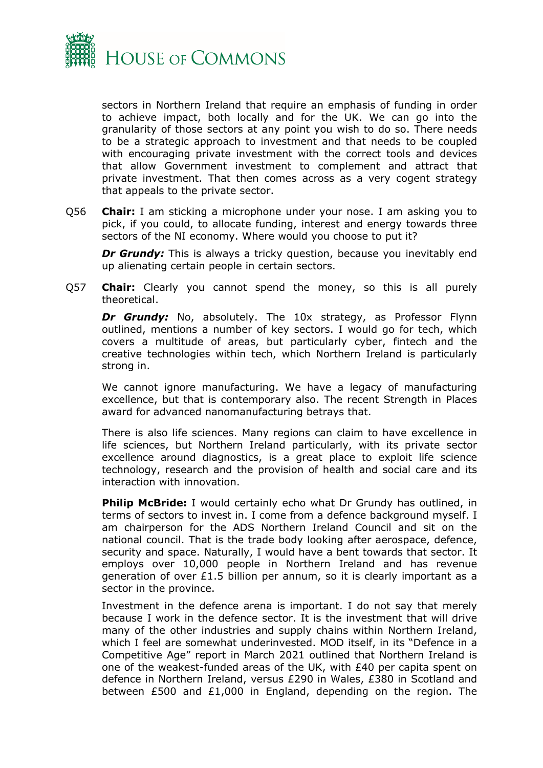

sectors in Northern Ireland that require an emphasis of funding in order to achieve impact, both locally and for the UK. We can go into the granularity of those sectors at any point you wish to do so. There needs to be a strategic approach to investment and that needs to be coupled with encouraging private investment with the correct tools and devices that allow Government investment to complement and attract that private investment. That then comes across as a very cogent strategy that appeals to the private sector.

Q56 **Chair:** I am sticking a microphone under your nose. I am asking you to pick, if you could, to allocate funding, interest and energy towards three sectors of the NI economy. Where would you choose to put it?

**Dr Grundy:** This is always a tricky question, because you inevitably end up alienating certain people in certain sectors.

Q57 **Chair:** Clearly you cannot spend the money, so this is all purely theoretical.

*Dr Grundy:* No, absolutely. The 10x strategy, as Professor Flynn outlined, mentions a number of key sectors. I would go for tech, which covers a multitude of areas, but particularly cyber, fintech and the creative technologies within tech, which Northern Ireland is particularly strong in.

We cannot ignore manufacturing. We have a legacy of manufacturing excellence, but that is contemporary also. The recent Strength in Places award for advanced nanomanufacturing betrays that.

There is also life sciences. Many regions can claim to have excellence in life sciences, but Northern Ireland particularly, with its private sector excellence around diagnostics, is a great place to exploit life science technology, research and the provision of health and social care and its interaction with innovation.

**Philip McBride:** I would certainly echo what Dr Grundy has outlined, in terms of sectors to invest in. I come from a defence background myself. I am chairperson for the ADS Northern Ireland Council and sit on the national council. That is the trade body looking after aerospace, defence, security and space. Naturally, I would have a bent towards that sector. It employs over 10,000 people in Northern Ireland and has revenue generation of over £1.5 billion per annum, so it is clearly important as a sector in the province.

Investment in the defence arena is important. I do not say that merely because I work in the defence sector. It is the investment that will drive many of the other industries and supply chains within Northern Ireland, which I feel are somewhat underinvested. MOD itself, in its "Defence in a Competitive Age" report in March 2021 outlined that Northern Ireland is one of the weakest-funded areas of the UK, with £40 per capita spent on defence in Northern Ireland, versus £290 in Wales, £380 in Scotland and between £500 and £1,000 in England, depending on the region. The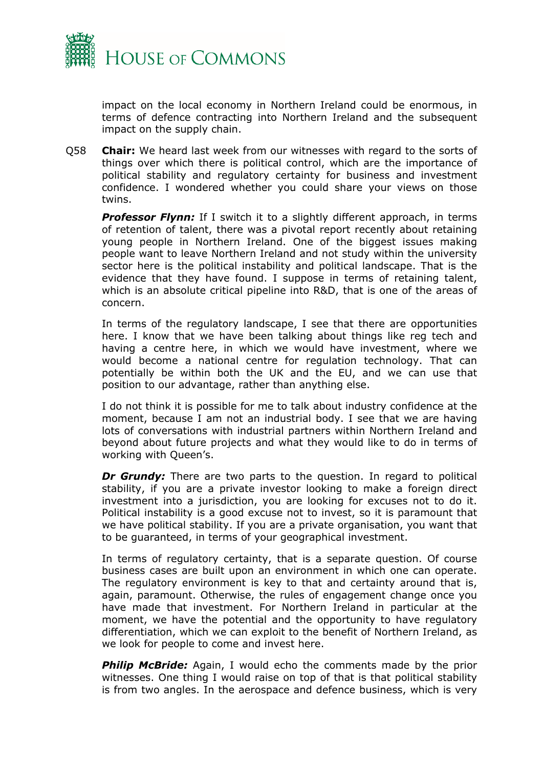

impact on the local economy in Northern Ireland could be enormous, in terms of defence contracting into Northern Ireland and the subsequent impact on the supply chain.

Q58 **Chair:** We heard last week from our witnesses with regard to the sorts of things over which there is political control, which are the importance of political stability and regulatory certainty for business and investment confidence. I wondered whether you could share your views on those twins.

**Professor Flynn:** If I switch it to a slightly different approach, in terms of retention of talent, there was a pivotal report recently about retaining young people in Northern Ireland. One of the biggest issues making people want to leave Northern Ireland and not study within the university sector here is the political instability and political landscape. That is the evidence that they have found. I suppose in terms of retaining talent, which is an absolute critical pipeline into R&D, that is one of the areas of concern.

In terms of the regulatory landscape, I see that there are opportunities here. I know that we have been talking about things like reg tech and having a centre here, in which we would have investment, where we would become a national centre for regulation technology. That can potentially be within both the UK and the EU, and we can use that position to our advantage, rather than anything else.

I do not think it is possible for me to talk about industry confidence at the moment, because I am not an industrial body. I see that we are having lots of conversations with industrial partners within Northern Ireland and beyond about future projects and what they would like to do in terms of working with Queen's.

*Dr Grundy:* There are two parts to the question. In regard to political stability, if you are a private investor looking to make a foreign direct investment into a jurisdiction, you are looking for excuses not to do it. Political instability is a good excuse not to invest, so it is paramount that we have political stability. If you are a private organisation, you want that to be guaranteed, in terms of your geographical investment.

In terms of regulatory certainty, that is a separate question. Of course business cases are built upon an environment in which one can operate. The regulatory environment is key to that and certainty around that is, again, paramount. Otherwise, the rules of engagement change once you have made that investment. For Northern Ireland in particular at the moment, we have the potential and the opportunity to have regulatory differentiation, which we can exploit to the benefit of Northern Ireland, as we look for people to come and invest here.

*Philip McBride:* Again, I would echo the comments made by the prior witnesses. One thing I would raise on top of that is that political stability is from two angles. In the aerospace and defence business, which is very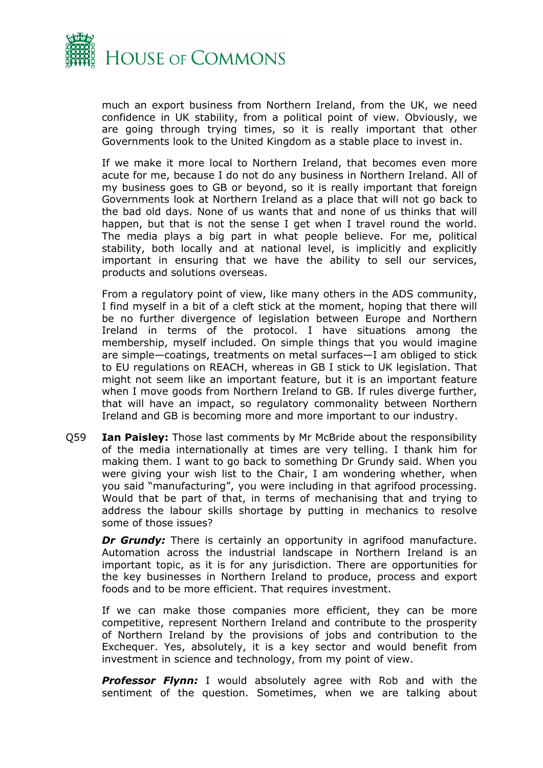

much an export business from Northern Ireland, from the UK, we need confidence in UK stability, from a political point of view. Obviously, we are going through trying times, so it is really important that other Governments look to the United Kingdom as a stable place to invest in.

If we make it more local to Northern Ireland, that becomes even more acute for me, because I do not do any business in Northern Ireland. All of my business goes to GB or beyond, so it is really important that foreign Governments look at Northern Ireland as a place that will not go back to the bad old days. None of us wants that and none of us thinks that will happen, but that is not the sense I get when I travel round the world. The media plays a big part in what people believe. For me, political stability, both locally and at national level, is implicitly and explicitly important in ensuring that we have the ability to sell our services, products and solutions overseas.

From a regulatory point of view, like many others in the ADS community, I find myself in a bit of a cleft stick at the moment, hoping that there will be no further divergence of legislation between Europe and Northern Ireland in terms of the protocol. I have situations among the membership, myself included. On simple things that you would imagine are simple—coatings, treatments on metal surfaces—I am obliged to stick to EU regulations on REACH, whereas in GB I stick to UK legislation. That might not seem like an important feature, but it is an important feature when I move goods from Northern Ireland to GB. If rules diverge further, that will have an impact, so regulatory commonality between Northern Ireland and GB is becoming more and more important to our industry.

Q59 **Ian Paisley:** Those last comments by Mr McBride about the responsibility of the media internationally at times are very telling. I thank him for making them. I want to go back to something Dr Grundy said. When you were giving your wish list to the Chair, I am wondering whether, when you said "manufacturing", you were including in that agrifood processing. Would that be part of that, in terms of mechanising that and trying to address the labour skills shortage by putting in mechanics to resolve some of those issues?

*Dr Grundy:* There is certainly an opportunity in agrifood manufacture. Automation across the industrial landscape in Northern Ireland is an important topic, as it is for any jurisdiction. There are opportunities for the key businesses in Northern Ireland to produce, process and export foods and to be more efficient. That requires investment.

If we can make those companies more efficient, they can be more competitive, represent Northern Ireland and contribute to the prosperity of Northern Ireland by the provisions of jobs and contribution to the Exchequer. Yes, absolutely, it is a key sector and would benefit from investment in science and technology, from my point of view.

**Professor Flynn:** I would absolutely agree with Rob and with the sentiment of the question. Sometimes, when we are talking about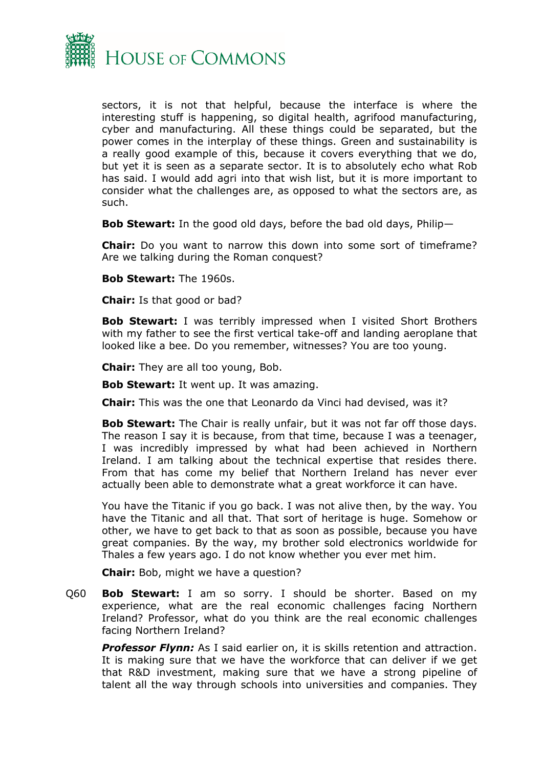

sectors, it is not that helpful, because the interface is where the interesting stuff is happening, so digital health, agrifood manufacturing, cyber and manufacturing. All these things could be separated, but the power comes in the interplay of these things. Green and sustainability is a really good example of this, because it covers everything that we do, but yet it is seen as a separate sector. It is to absolutely echo what Rob has said. I would add agri into that wish list, but it is more important to consider what the challenges are, as opposed to what the sectors are, as such.

**Bob Stewart:** In the good old days, before the bad old days, Philip—

**Chair:** Do you want to narrow this down into some sort of timeframe? Are we talking during the Roman conquest?

**Bob Stewart:** The 1960s.

**Chair:** Is that good or bad?

**Bob Stewart:** I was terribly impressed when I visited Short Brothers with my father to see the first vertical take-off and landing aeroplane that looked like a bee. Do you remember, witnesses? You are too young.

**Chair:** They are all too young, Bob.

**Bob Stewart:** It went up. It was amazing.

**Chair:** This was the one that Leonardo da Vinci had devised, was it?

**Bob Stewart:** The Chair is really unfair, but it was not far off those days. The reason I say it is because, from that time, because I was a teenager, I was incredibly impressed by what had been achieved in Northern Ireland. I am talking about the technical expertise that resides there. From that has come my belief that Northern Ireland has never ever actually been able to demonstrate what a great workforce it can have.

You have the Titanic if you go back. I was not alive then, by the way. You have the Titanic and all that. That sort of heritage is huge. Somehow or other, we have to get back to that as soon as possible, because you have great companies. By the way, my brother sold electronics worldwide for Thales a few years ago. I do not know whether you ever met him.

**Chair:** Bob, might we have a question?

Q60 **Bob Stewart:** I am so sorry. I should be shorter. Based on my experience, what are the real economic challenges facing Northern Ireland? Professor, what do you think are the real economic challenges facing Northern Ireland?

**Professor Flynn:** As I said earlier on, it is skills retention and attraction. It is making sure that we have the workforce that can deliver if we get that R&D investment, making sure that we have a strong pipeline of talent all the way through schools into universities and companies. They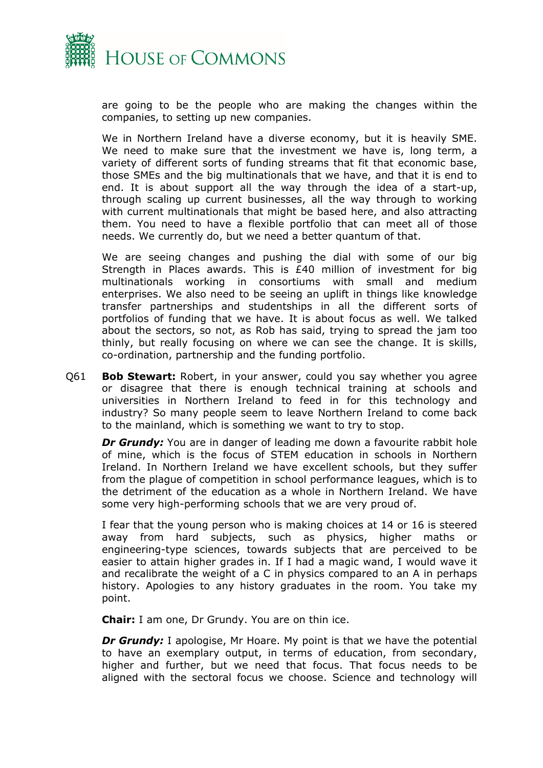

are going to be the people who are making the changes within the companies, to setting up new companies.

We in Northern Ireland have a diverse economy, but it is heavily SME. We need to make sure that the investment we have is, long term, a variety of different sorts of funding streams that fit that economic base, those SMEs and the big multinationals that we have, and that it is end to end. It is about support all the way through the idea of a start-up, through scaling up current businesses, all the way through to working with current multinationals that might be based here, and also attracting them. You need to have a flexible portfolio that can meet all of those needs. We currently do, but we need a better quantum of that.

We are seeing changes and pushing the dial with some of our big Strength in Places awards. This is £40 million of investment for big multinationals working in consortiums with small and medium enterprises. We also need to be seeing an uplift in things like knowledge transfer partnerships and studentships in all the different sorts of portfolios of funding that we have. It is about focus as well. We talked about the sectors, so not, as Rob has said, trying to spread the jam too thinly, but really focusing on where we can see the change. It is skills, co-ordination, partnership and the funding portfolio.

Q61 **Bob Stewart:** Robert, in your answer, could you say whether you agree or disagree that there is enough technical training at schools and universities in Northern Ireland to feed in for this technology and industry? So many people seem to leave Northern Ireland to come back to the mainland, which is something we want to try to stop.

*Dr Grundy:* You are in danger of leading me down a favourite rabbit hole of mine, which is the focus of STEM education in schools in Northern Ireland. In Northern Ireland we have excellent schools, but they suffer from the plague of competition in school performance leagues, which is to the detriment of the education as a whole in Northern Ireland. We have some very high-performing schools that we are very proud of.

I fear that the young person who is making choices at 14 or 16 is steered away from hard subjects, such as physics, higher maths or engineering-type sciences, towards subjects that are perceived to be easier to attain higher grades in. If I had a magic wand, I would wave it and recalibrate the weight of a C in physics compared to an A in perhaps history. Apologies to any history graduates in the room. You take my point.

**Chair:** I am one, Dr Grundy. You are on thin ice.

*Dr Grundy:* I apologise, Mr Hoare. My point is that we have the potential to have an exemplary output, in terms of education, from secondary, higher and further, but we need that focus. That focus needs to be aligned with the sectoral focus we choose. Science and technology will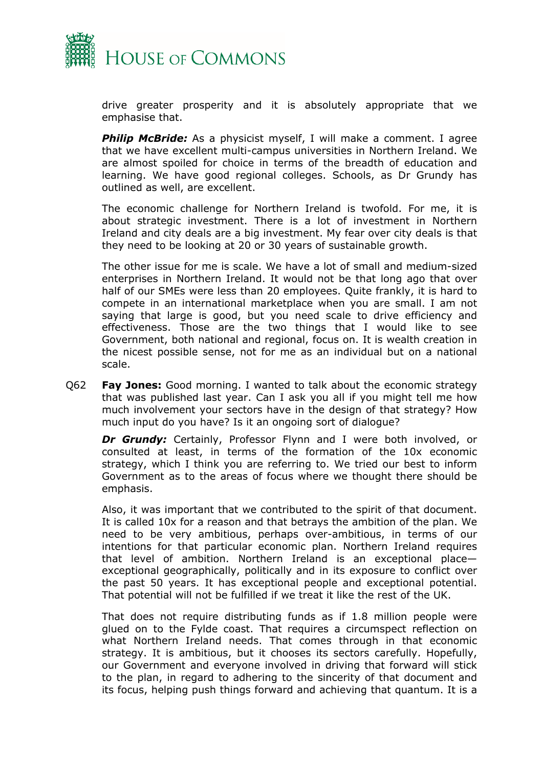

drive greater prosperity and it is absolutely appropriate that we emphasise that.

**Philip McBride:** As a physicist myself, I will make a comment. I agree that we have excellent multi-campus universities in Northern Ireland. We are almost spoiled for choice in terms of the breadth of education and learning. We have good regional colleges. Schools, as Dr Grundy has outlined as well, are excellent.

The economic challenge for Northern Ireland is twofold. For me, it is about strategic investment. There is a lot of investment in Northern Ireland and city deals are a big investment. My fear over city deals is that they need to be looking at 20 or 30 years of sustainable growth.

The other issue for me is scale. We have a lot of small and medium-sized enterprises in Northern Ireland. It would not be that long ago that over half of our SMEs were less than 20 employees. Quite frankly, it is hard to compete in an international marketplace when you are small. I am not saying that large is good, but you need scale to drive efficiency and effectiveness. Those are the two things that I would like to see Government, both national and regional, focus on. It is wealth creation in the nicest possible sense, not for me as an individual but on a national scale.

Q62 **Fay Jones:** Good morning. I wanted to talk about the economic strategy that was published last year. Can I ask you all if you might tell me how much involvement your sectors have in the design of that strategy? How much input do you have? Is it an ongoing sort of dialogue?

**Dr Grundy:** Certainly, Professor Flynn and I were both involved, or consulted at least, in terms of the formation of the 10x economic strategy, which I think you are referring to. We tried our best to inform Government as to the areas of focus where we thought there should be emphasis.

Also, it was important that we contributed to the spirit of that document. It is called 10x for a reason and that betrays the ambition of the plan. We need to be very ambitious, perhaps over-ambitious, in terms of our intentions for that particular economic plan. Northern Ireland requires that level of ambition. Northern Ireland is an exceptional place exceptional geographically, politically and in its exposure to conflict over the past 50 years. It has exceptional people and exceptional potential. That potential will not be fulfilled if we treat it like the rest of the UK.

That does not require distributing funds as if 1.8 million people were glued on to the Fylde coast. That requires a circumspect reflection on what Northern Ireland needs. That comes through in that economic strategy. It is ambitious, but it chooses its sectors carefully. Hopefully, our Government and everyone involved in driving that forward will stick to the plan, in regard to adhering to the sincerity of that document and its focus, helping push things forward and achieving that quantum. It is a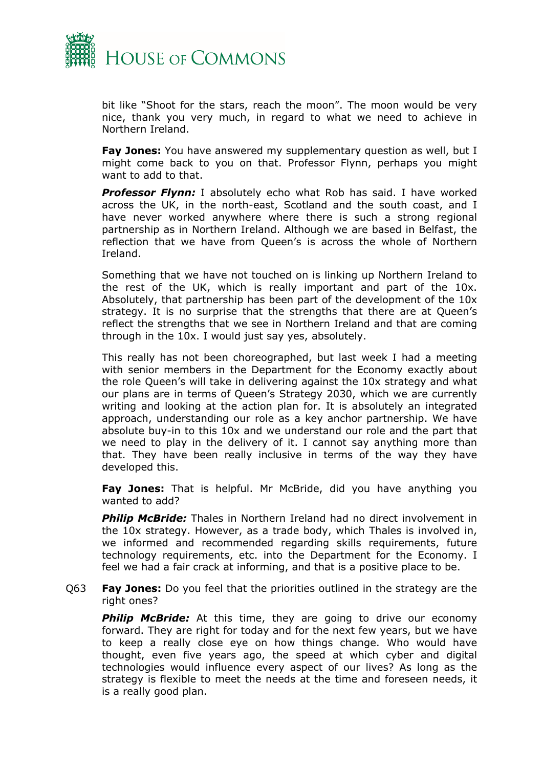

bit like "Shoot for the stars, reach the moon". The moon would be very nice, thank you very much, in regard to what we need to achieve in Northern Ireland.

**Fay Jones:** You have answered my supplementary question as well, but I might come back to you on that. Professor Flynn, perhaps you might want to add to that.

*Professor Flynn:* I absolutely echo what Rob has said. I have worked across the UK, in the north-east, Scotland and the south coast, and I have never worked anywhere where there is such a strong regional partnership as in Northern Ireland. Although we are based in Belfast, the reflection that we have from Queen's is across the whole of Northern Ireland.

Something that we have not touched on is linking up Northern Ireland to the rest of the UK, which is really important and part of the 10x. Absolutely, that partnership has been part of the development of the 10x strategy. It is no surprise that the strengths that there are at Queen's reflect the strengths that we see in Northern Ireland and that are coming through in the 10x. I would just say yes, absolutely.

This really has not been choreographed, but last week I had a meeting with senior members in the Department for the Economy exactly about the role Queen's will take in delivering against the 10x strategy and what our plans are in terms of Queen's Strategy 2030, which we are currently writing and looking at the action plan for. It is absolutely an integrated approach, understanding our role as a key anchor partnership. We have absolute buy-in to this 10x and we understand our role and the part that we need to play in the delivery of it. I cannot say anything more than that. They have been really inclusive in terms of the way they have developed this.

**Fay Jones:** That is helpful. Mr McBride, did you have anything you wanted to add?

*Philip McBride:* Thales in Northern Ireland had no direct involvement in the 10x strategy. However, as a trade body, which Thales is involved in, we informed and recommended regarding skills requirements, future technology requirements, etc. into the Department for the Economy. I feel we had a fair crack at informing, and that is a positive place to be.

Q63 **Fay Jones:** Do you feel that the priorities outlined in the strategy are the right ones?

**Philip McBride:** At this time, they are going to drive our economy forward. They are right for today and for the next few years, but we have to keep a really close eye on how things change. Who would have thought, even five years ago, the speed at which cyber and digital technologies would influence every aspect of our lives? As long as the strategy is flexible to meet the needs at the time and foreseen needs, it is a really good plan.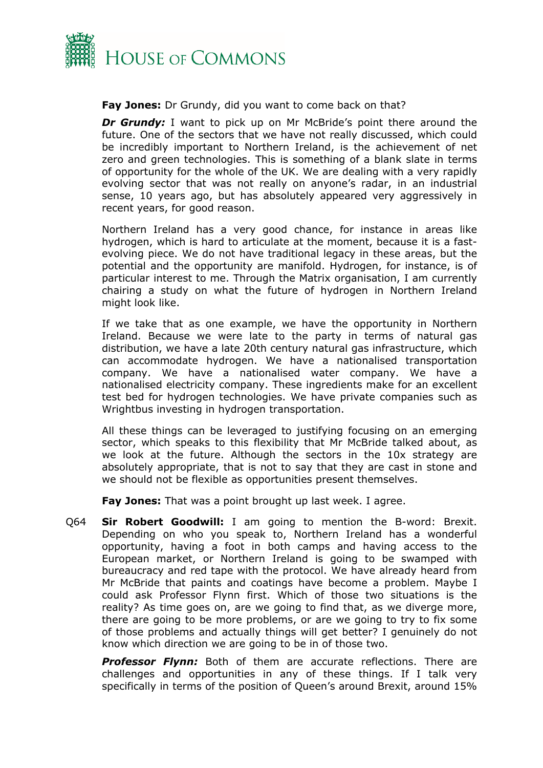

## **Fay Jones:** Dr Grundy, did you want to come back on that?

*Dr Grundy:* I want to pick up on Mr McBride's point there around the future. One of the sectors that we have not really discussed, which could be incredibly important to Northern Ireland, is the achievement of net zero and green technologies. This is something of a blank slate in terms of opportunity for the whole of the UK. We are dealing with a very rapidly evolving sector that was not really on anyone's radar, in an industrial sense, 10 years ago, but has absolutely appeared very aggressively in recent years, for good reason.

Northern Ireland has a very good chance, for instance in areas like hydrogen, which is hard to articulate at the moment, because it is a fastevolving piece. We do not have traditional legacy in these areas, but the potential and the opportunity are manifold. Hydrogen, for instance, is of particular interest to me. Through the Matrix organisation, I am currently chairing a study on what the future of hydrogen in Northern Ireland might look like.

If we take that as one example, we have the opportunity in Northern Ireland. Because we were late to the party in terms of natural gas distribution, we have a late 20th century natural gas infrastructure, which can accommodate hydrogen. We have a nationalised transportation company. We have a nationalised water company. We have a nationalised electricity company. These ingredients make for an excellent test bed for hydrogen technologies. We have private companies such as Wrightbus investing in hydrogen transportation.

All these things can be leveraged to justifying focusing on an emerging sector, which speaks to this flexibility that Mr McBride talked about, as we look at the future. Although the sectors in the 10x strategy are absolutely appropriate, that is not to say that they are cast in stone and we should not be flexible as opportunities present themselves.

**Fay Jones:** That was a point brought up last week. I agree.

Q64 **Sir Robert Goodwill:** I am going to mention the B-word: Brexit. Depending on who you speak to, Northern Ireland has a wonderful opportunity, having a foot in both camps and having access to the European market, or Northern Ireland is going to be swamped with bureaucracy and red tape with the protocol. We have already heard from Mr McBride that paints and coatings have become a problem. Maybe I could ask Professor Flynn first. Which of those two situations is the reality? As time goes on, are we going to find that, as we diverge more, there are going to be more problems, or are we going to try to fix some of those problems and actually things will get better? I genuinely do not know which direction we are going to be in of those two.

**Professor Flynn:** Both of them are accurate reflections. There are challenges and opportunities in any of these things. If I talk very specifically in terms of the position of Queen's around Brexit, around 15%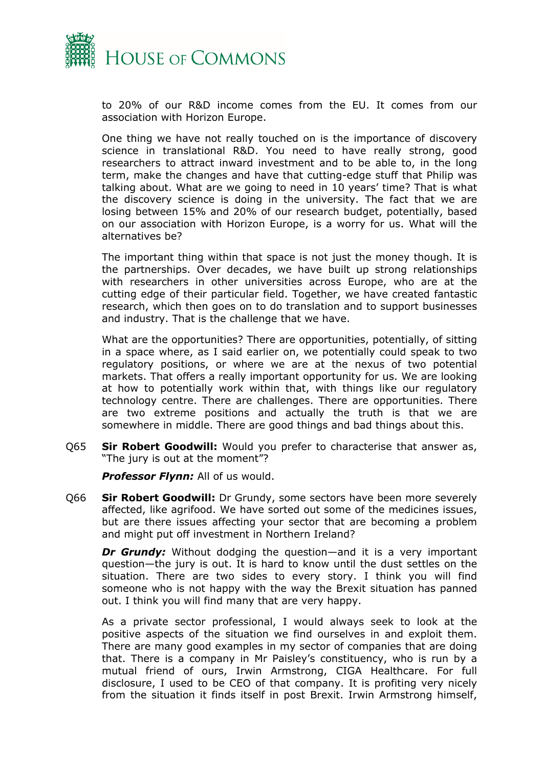

to 20% of our R&D income comes from the EU. It comes from our association with Horizon Europe.

One thing we have not really touched on is the importance of discovery science in translational R&D. You need to have really strong, good researchers to attract inward investment and to be able to, in the long term, make the changes and have that cutting-edge stuff that Philip was talking about. What are we going to need in 10 years' time? That is what the discovery science is doing in the university. The fact that we are losing between 15% and 20% of our research budget, potentially, based on our association with Horizon Europe, is a worry for us. What will the alternatives be?

The important thing within that space is not just the money though. It is the partnerships. Over decades, we have built up strong relationships with researchers in other universities across Europe, who are at the cutting edge of their particular field. Together, we have created fantastic research, which then goes on to do translation and to support businesses and industry. That is the challenge that we have.

What are the opportunities? There are opportunities, potentially, of sitting in a space where, as I said earlier on, we potentially could speak to two regulatory positions, or where we are at the nexus of two potential markets. That offers a really important opportunity for us. We are looking at how to potentially work within that, with things like our regulatory technology centre. There are challenges. There are opportunities. There are two extreme positions and actually the truth is that we are somewhere in middle. There are good things and bad things about this.

Q65 **Sir Robert Goodwill:** Would you prefer to characterise that answer as, "The jury is out at the moment"?

*Professor Flynn:* All of us would.

Q66 **Sir Robert Goodwill:** Dr Grundy, some sectors have been more severely affected, like agrifood. We have sorted out some of the medicines issues, but are there issues affecting your sector that are becoming a problem and might put off investment in Northern Ireland?

*Dr Grundy:* Without dodging the question—and it is a very important question—the jury is out. It is hard to know until the dust settles on the situation. There are two sides to every story. I think you will find someone who is not happy with the way the Brexit situation has panned out. I think you will find many that are very happy.

As a private sector professional, I would always seek to look at the positive aspects of the situation we find ourselves in and exploit them. There are many good examples in my sector of companies that are doing that. There is a company in Mr Paisley's constituency, who is run by a mutual friend of ours, Irwin Armstrong, CIGA Healthcare. For full disclosure, I used to be CEO of that company. It is profiting very nicely from the situation it finds itself in post Brexit. Irwin Armstrong himself,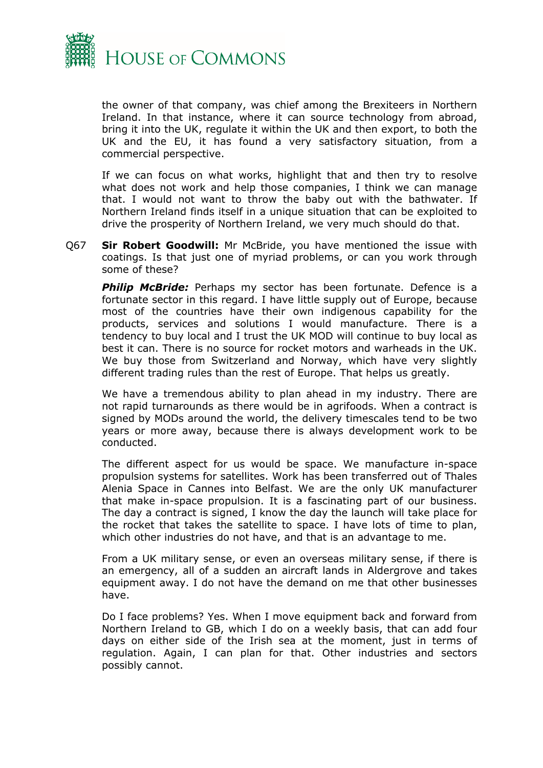

the owner of that company, was chief among the Brexiteers in Northern Ireland. In that instance, where it can source technology from abroad, bring it into the UK, regulate it within the UK and then export, to both the UK and the EU, it has found a very satisfactory situation, from a commercial perspective.

If we can focus on what works, highlight that and then try to resolve what does not work and help those companies, I think we can manage that. I would not want to throw the baby out with the bathwater. If Northern Ireland finds itself in a unique situation that can be exploited to drive the prosperity of Northern Ireland, we very much should do that.

Q67 **Sir Robert Goodwill:** Mr McBride, you have mentioned the issue with coatings. Is that just one of myriad problems, or can you work through some of these?

**Philip McBride:** Perhaps my sector has been fortunate. Defence is a fortunate sector in this regard. I have little supply out of Europe, because most of the countries have their own indigenous capability for the products, services and solutions I would manufacture. There is a tendency to buy local and I trust the UK MOD will continue to buy local as best it can. There is no source for rocket motors and warheads in the UK. We buy those from Switzerland and Norway, which have very slightly different trading rules than the rest of Europe. That helps us greatly.

We have a tremendous ability to plan ahead in my industry. There are not rapid turnarounds as there would be in agrifoods. When a contract is signed by MODs around the world, the delivery timescales tend to be two years or more away, because there is always development work to be conducted.

The different aspect for us would be space. We manufacture in-space propulsion systems for satellites. Work has been transferred out of Thales Alenia Space in Cannes into Belfast. We are the only UK manufacturer that make in-space propulsion. It is a fascinating part of our business. The day a contract is signed, I know the day the launch will take place for the rocket that takes the satellite to space. I have lots of time to plan, which other industries do not have, and that is an advantage to me.

From a UK military sense, or even an overseas military sense, if there is an emergency, all of a sudden an aircraft lands in Aldergrove and takes equipment away. I do not have the demand on me that other businesses have.

Do I face problems? Yes. When I move equipment back and forward from Northern Ireland to GB, which I do on a weekly basis, that can add four days on either side of the Irish sea at the moment, just in terms of regulation. Again, I can plan for that. Other industries and sectors possibly cannot.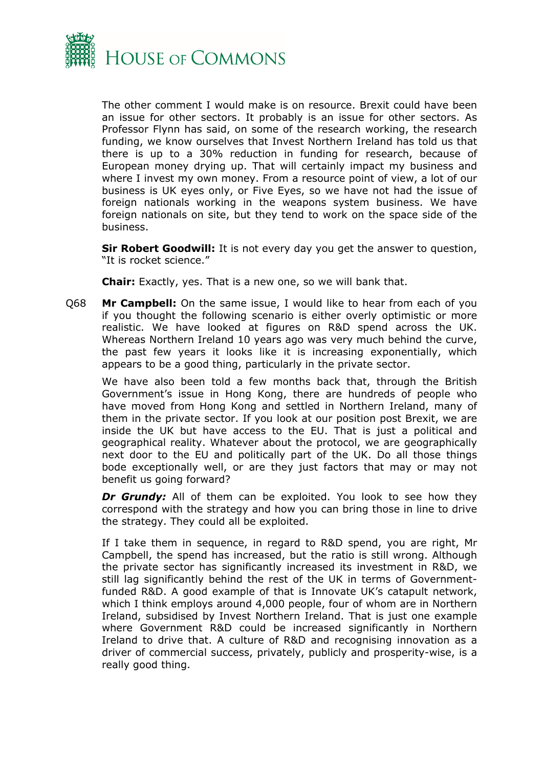

The other comment I would make is on resource. Brexit could have been an issue for other sectors. It probably is an issue for other sectors. As Professor Flynn has said, on some of the research working, the research funding, we know ourselves that Invest Northern Ireland has told us that there is up to a 30% reduction in funding for research, because of European money drying up. That will certainly impact my business and where I invest my own money. From a resource point of view, a lot of our business is UK eyes only, or Five Eyes, so we have not had the issue of foreign nationals working in the weapons system business. We have foreign nationals on site, but they tend to work on the space side of the business.

**Sir Robert Goodwill:** It is not every day you get the answer to question, "It is rocket science."

**Chair:** Exactly, yes. That is a new one, so we will bank that.

Q68 **Mr Campbell:** On the same issue, I would like to hear from each of you if you thought the following scenario is either overly optimistic or more realistic. We have looked at figures on R&D spend across the UK. Whereas Northern Ireland 10 years ago was very much behind the curve, the past few years it looks like it is increasing exponentially, which appears to be a good thing, particularly in the private sector.

We have also been told a few months back that, through the British Government's issue in Hong Kong, there are hundreds of people who have moved from Hong Kong and settled in Northern Ireland, many of them in the private sector. If you look at our position post Brexit, we are inside the UK but have access to the EU. That is just a political and geographical reality. Whatever about the protocol, we are geographically next door to the EU and politically part of the UK. Do all those things bode exceptionally well, or are they just factors that may or may not benefit us going forward?

**Dr Grundy:** All of them can be exploited. You look to see how they correspond with the strategy and how you can bring those in line to drive the strategy. They could all be exploited.

If I take them in sequence, in regard to R&D spend, you are right, Mr Campbell, the spend has increased, but the ratio is still wrong. Although the private sector has significantly increased its investment in R&D, we still lag significantly behind the rest of the UK in terms of Governmentfunded R&D. A good example of that is Innovate UK's catapult network, which I think employs around 4,000 people, four of whom are in Northern Ireland, subsidised by Invest Northern Ireland. That is just one example where Government R&D could be increased significantly in Northern Ireland to drive that. A culture of R&D and recognising innovation as a driver of commercial success, privately, publicly and prosperity-wise, is a really good thing.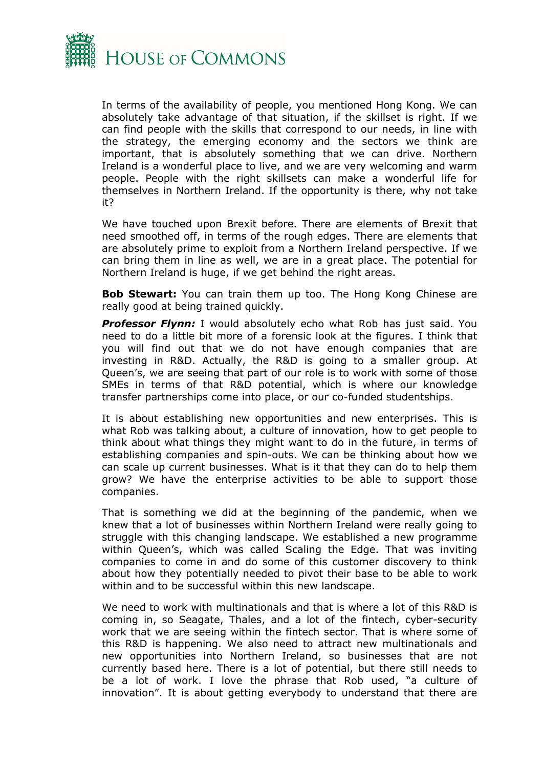

In terms of the availability of people, you mentioned Hong Kong. We can absolutely take advantage of that situation, if the skillset is right. If we can find people with the skills that correspond to our needs, in line with the strategy, the emerging economy and the sectors we think are important, that is absolutely something that we can drive. Northern Ireland is a wonderful place to live, and we are very welcoming and warm people. People with the right skillsets can make a wonderful life for themselves in Northern Ireland. If the opportunity is there, why not take it?

We have touched upon Brexit before. There are elements of Brexit that need smoothed off, in terms of the rough edges. There are elements that are absolutely prime to exploit from a Northern Ireland perspective. If we can bring them in line as well, we are in a great place. The potential for Northern Ireland is huge, if we get behind the right areas.

**Bob Stewart:** You can train them up too. The Hong Kong Chinese are really good at being trained quickly.

**Professor Flynn:** I would absolutely echo what Rob has just said. You need to do a little bit more of a forensic look at the figures. I think that you will find out that we do not have enough companies that are investing in R&D. Actually, the R&D is going to a smaller group. At Queen's, we are seeing that part of our role is to work with some of those SMEs in terms of that R&D potential, which is where our knowledge transfer partnerships come into place, or our co-funded studentships.

It is about establishing new opportunities and new enterprises. This is what Rob was talking about, a culture of innovation, how to get people to think about what things they might want to do in the future, in terms of establishing companies and spin-outs. We can be thinking about how we can scale up current businesses. What is it that they can do to help them grow? We have the enterprise activities to be able to support those companies.

That is something we did at the beginning of the pandemic, when we knew that a lot of businesses within Northern Ireland were really going to struggle with this changing landscape. We established a new programme within Queen's, which was called Scaling the Edge. That was inviting companies to come in and do some of this customer discovery to think about how they potentially needed to pivot their base to be able to work within and to be successful within this new landscape.

We need to work with multinationals and that is where a lot of this R&D is coming in, so Seagate, Thales, and a lot of the fintech, cyber-security work that we are seeing within the fintech sector. That is where some of this R&D is happening. We also need to attract new multinationals and new opportunities into Northern Ireland, so businesses that are not currently based here. There is a lot of potential, but there still needs to be a lot of work. I love the phrase that Rob used, "a culture of innovation". It is about getting everybody to understand that there are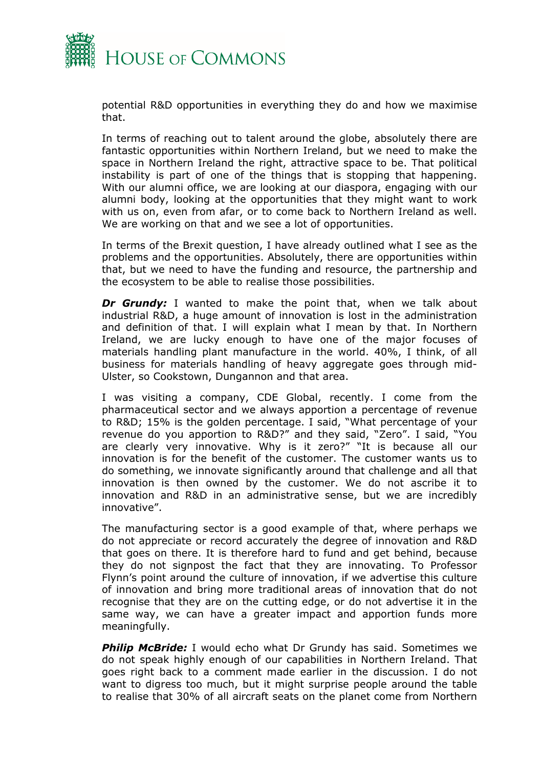

potential R&D opportunities in everything they do and how we maximise that.

In terms of reaching out to talent around the globe, absolutely there are fantastic opportunities within Northern Ireland, but we need to make the space in Northern Ireland the right, attractive space to be. That political instability is part of one of the things that is stopping that happening. With our alumni office, we are looking at our diaspora, engaging with our alumni body, looking at the opportunities that they might want to work with us on, even from afar, or to come back to Northern Ireland as well. We are working on that and we see a lot of opportunities.

In terms of the Brexit question, I have already outlined what I see as the problems and the opportunities. Absolutely, there are opportunities within that, but we need to have the funding and resource, the partnership and the ecosystem to be able to realise those possibilities.

*Dr Grundy:* I wanted to make the point that, when we talk about industrial R&D, a huge amount of innovation is lost in the administration and definition of that. I will explain what I mean by that. In Northern Ireland, we are lucky enough to have one of the major focuses of materials handling plant manufacture in the world. 40%, I think, of all business for materials handling of heavy aggregate goes through mid-Ulster, so Cookstown, Dungannon and that area.

I was visiting a company, CDE Global, recently. I come from the pharmaceutical sector and we always apportion a percentage of revenue to R&D; 15% is the golden percentage. I said, "What percentage of your revenue do you apportion to R&D?" and they said, "Zero". I said, "You are clearly very innovative. Why is it zero?" "It is because all our innovation is for the benefit of the customer. The customer wants us to do something, we innovate significantly around that challenge and all that innovation is then owned by the customer. We do not ascribe it to innovation and R&D in an administrative sense, but we are incredibly innovative".

The manufacturing sector is a good example of that, where perhaps we do not appreciate or record accurately the degree of innovation and R&D that goes on there. It is therefore hard to fund and get behind, because they do not signpost the fact that they are innovating. To Professor Flynn's point around the culture of innovation, if we advertise this culture of innovation and bring more traditional areas of innovation that do not recognise that they are on the cutting edge, or do not advertise it in the same way, we can have a greater impact and apportion funds more meaningfully.

*Philip McBride:* I would echo what Dr Grundy has said. Sometimes we do not speak highly enough of our capabilities in Northern Ireland. That goes right back to a comment made earlier in the discussion. I do not want to digress too much, but it might surprise people around the table to realise that 30% of all aircraft seats on the planet come from Northern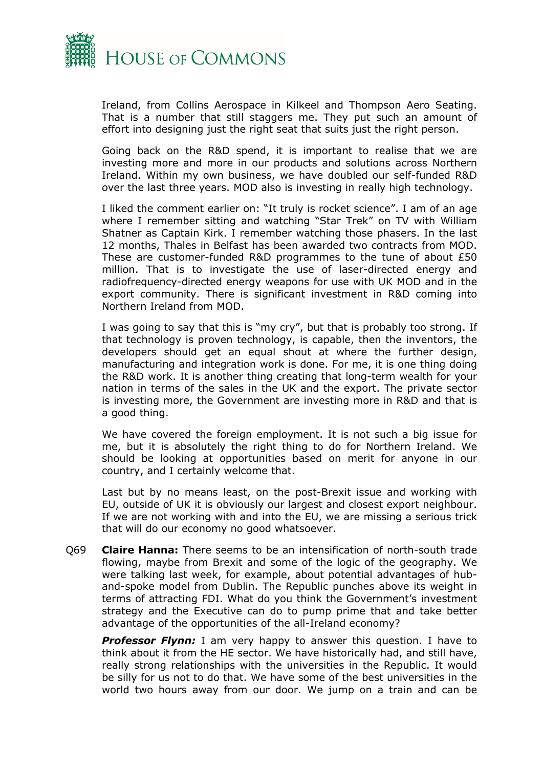

Ireland, from Collins Aerospace in Kilkeel and Thompson Aero Seating. That is a number that still staggers me. They put such an amount of effort into designing just the right seat that suits just the right person.

Going back on the R&D spend, it is important to realise that we are investing more and more in our products and solutions across Northern Ireland. Within my own business, we have doubled our self-funded R&D over the last three years. MOD also is investing in really high technology.

I liked the comment earlier on: "It truly is rocket science". I am of an age where I remember sitting and watching "Star Trek" on TV with William Shatner as Captain Kirk. I remember watching those phasers. In the last 12 months, Thales in Belfast has been awarded two contracts from MOD. These are customer-funded R&D programmes to the tune of about £50 million. That is to investigate the use of laser-directed energy and radiofrequency-directed energy weapons for use with UK MOD and in the export community. There is significant investment in R&D coming into Northern Ireland from MOD.

I was going to say that this is "my cry", but that is probably too strong. If that technology is proven technology, is capable, then the inventors, the developers should get an equal shout at where the further design, manufacturing and integration work is done. For me, it is one thing doing the R&D work. It is another thing creating that long-term wealth for your nation in terms of the sales in the UK and the export. The private sector is investing more, the Government are investing more in R&D and that is a good thing.

We have covered the foreign employment. It is not such a big issue for me, but it is absolutely the right thing to do for Northern Ireland. We should be looking at opportunities based on merit for anyone in our country, and I certainly welcome that.

Last but by no means least, on the post-Brexit issue and working with EU, outside of UK it is obviously our largest and closest export neighbour. If we are not working with and into the EU, we are missing a serious trick that will do our economy no good whatsoever.

Q69 **Claire Hanna:** There seems to be an intensification of north-south trade flowing, maybe from Brexit and some of the logic of the geography. We were talking last week, for example, about potential advantages of huband-spoke model from Dublin. The Republic punches above its weight in terms of attracting FDI. What do you think the Government's investment strategy and the Executive can do to pump prime that and take better advantage of the opportunities of the all-Ireland economy?

**Professor Flynn:** I am very happy to answer this question. I have to think about it from the HE sector. We have historically had, and still have, really strong relationships with the universities in the Republic. It would be silly for us not to do that. We have some of the best universities in the world two hours away from our door. We jump on a train and can be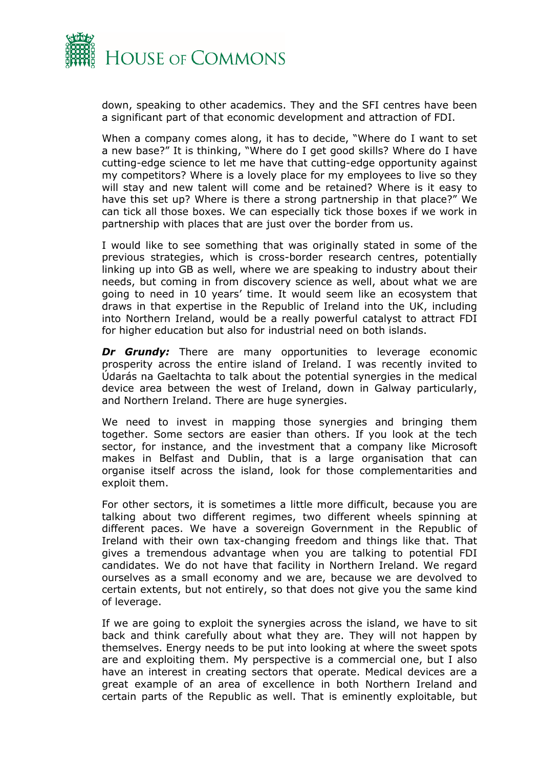

down, speaking to other academics. They and the SFI centres have been a significant part of that economic development and attraction of FDI.

When a company comes along, it has to decide, "Where do I want to set a new base?" It is thinking, "Where do I get good skills? Where do I have cutting-edge science to let me have that cutting-edge opportunity against my competitors? Where is a lovely place for my employees to live so they will stay and new talent will come and be retained? Where is it easy to have this set up? Where is there a strong partnership in that place?" We can tick all those boxes. We can especially tick those boxes if we work in partnership with places that are just over the border from us.

I would like to see something that was originally stated in some of the previous strategies, which is cross-border research centres, potentially linking up into GB as well, where we are speaking to industry about their needs, but coming in from discovery science as well, about what we are going to need in 10 years' time. It would seem like an ecosystem that draws in that expertise in the Republic of Ireland into the UK, including into Northern Ireland, would be a really powerful catalyst to attract FDI for higher education but also for industrial need on both islands.

*Dr Grundy:* There are many opportunities to leverage economic prosperity across the entire island of Ireland. I was recently invited to Údarás na Gaeltachta to talk about the potential synergies in the medical device area between the west of Ireland, down in Galway particularly, and Northern Ireland. There are huge synergies.

We need to invest in mapping those synergies and bringing them together. Some sectors are easier than others. If you look at the tech sector, for instance, and the investment that a company like Microsoft makes in Belfast and Dublin, that is a large organisation that can organise itself across the island, look for those complementarities and exploit them.

For other sectors, it is sometimes a little more difficult, because you are talking about two different regimes, two different wheels spinning at different paces. We have a sovereign Government in the Republic of Ireland with their own tax-changing freedom and things like that. That gives a tremendous advantage when you are talking to potential FDI candidates. We do not have that facility in Northern Ireland. We regard ourselves as a small economy and we are, because we are devolved to certain extents, but not entirely, so that does not give you the same kind of leverage.

If we are going to exploit the synergies across the island, we have to sit back and think carefully about what they are. They will not happen by themselves. Energy needs to be put into looking at where the sweet spots are and exploiting them. My perspective is a commercial one, but I also have an interest in creating sectors that operate. Medical devices are a great example of an area of excellence in both Northern Ireland and certain parts of the Republic as well. That is eminently exploitable, but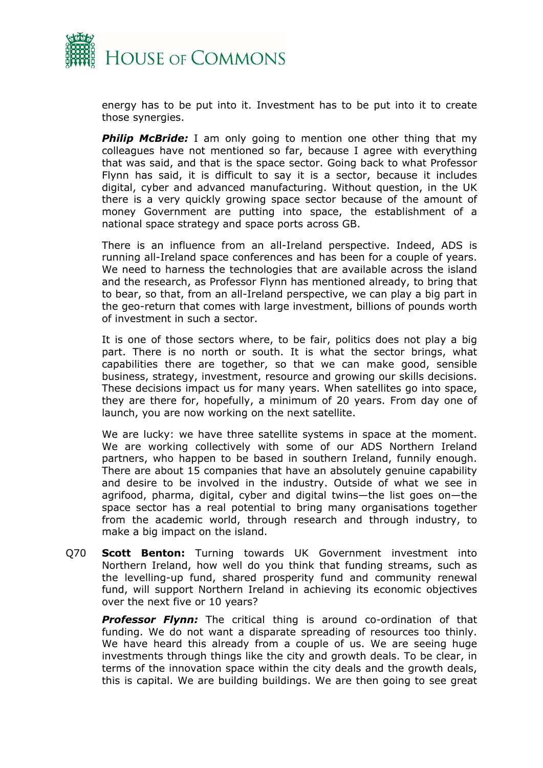

energy has to be put into it. Investment has to be put into it to create those synergies.

**Philip McBride:** I am only going to mention one other thing that my colleagues have not mentioned so far, because I agree with everything that was said, and that is the space sector. Going back to what Professor Flynn has said, it is difficult to say it is a sector, because it includes digital, cyber and advanced manufacturing. Without question, in the UK there is a very quickly growing space sector because of the amount of money Government are putting into space, the establishment of a national space strategy and space ports across GB.

There is an influence from an all-Ireland perspective. Indeed, ADS is running all-Ireland space conferences and has been for a couple of years. We need to harness the technologies that are available across the island and the research, as Professor Flynn has mentioned already, to bring that to bear, so that, from an all-Ireland perspective, we can play a big part in the geo-return that comes with large investment, billions of pounds worth of investment in such a sector.

It is one of those sectors where, to be fair, politics does not play a big part. There is no north or south. It is what the sector brings, what capabilities there are together, so that we can make good, sensible business, strategy, investment, resource and growing our skills decisions. These decisions impact us for many years. When satellites go into space, they are there for, hopefully, a minimum of 20 years. From day one of launch, you are now working on the next satellite.

We are lucky: we have three satellite systems in space at the moment. We are working collectively with some of our ADS Northern Ireland partners, who happen to be based in southern Ireland, funnily enough. There are about 15 companies that have an absolutely genuine capability and desire to be involved in the industry. Outside of what we see in agrifood, pharma, digital, cyber and digital twins—the list goes on—the space sector has a real potential to bring many organisations together from the academic world, through research and through industry, to make a big impact on the island.

Q70 **Scott Benton:** Turning towards UK Government investment into Northern Ireland, how well do you think that funding streams, such as the levelling-up fund, shared prosperity fund and community renewal fund, will support Northern Ireland in achieving its economic objectives over the next five or 10 years?

**Professor Flynn:** The critical thing is around co-ordination of that funding. We do not want a disparate spreading of resources too thinly. We have heard this already from a couple of us. We are seeing huge investments through things like the city and growth deals. To be clear, in terms of the innovation space within the city deals and the growth deals, this is capital. We are building buildings. We are then going to see great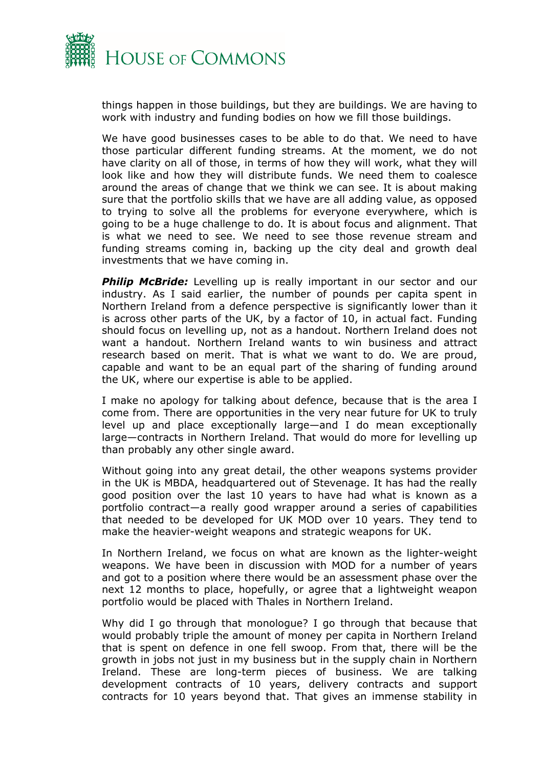

things happen in those buildings, but they are buildings. We are having to work with industry and funding bodies on how we fill those buildings.

We have good businesses cases to be able to do that. We need to have those particular different funding streams. At the moment, we do not have clarity on all of those, in terms of how they will work, what they will look like and how they will distribute funds. We need them to coalesce around the areas of change that we think we can see. It is about making sure that the portfolio skills that we have are all adding value, as opposed to trying to solve all the problems for everyone everywhere, which is going to be a huge challenge to do. It is about focus and alignment. That is what we need to see. We need to see those revenue stream and funding streams coming in, backing up the city deal and growth deal investments that we have coming in.

**Philip McBride:** Levelling up is really important in our sector and our industry. As I said earlier, the number of pounds per capita spent in Northern Ireland from a defence perspective is significantly lower than it is across other parts of the UK, by a factor of 10, in actual fact. Funding should focus on levelling up, not as a handout. Northern Ireland does not want a handout. Northern Ireland wants to win business and attract research based on merit. That is what we want to do. We are proud, capable and want to be an equal part of the sharing of funding around the UK, where our expertise is able to be applied.

I make no apology for talking about defence, because that is the area I come from. There are opportunities in the very near future for UK to truly level up and place exceptionally large—and I do mean exceptionally large—contracts in Northern Ireland. That would do more for levelling up than probably any other single award.

Without going into any great detail, the other weapons systems provider in the UK is MBDA, headquartered out of Stevenage. It has had the really good position over the last 10 years to have had what is known as a portfolio contract—a really good wrapper around a series of capabilities that needed to be developed for UK MOD over 10 years. They tend to make the heavier-weight weapons and strategic weapons for UK.

In Northern Ireland, we focus on what are known as the lighter-weight weapons. We have been in discussion with MOD for a number of years and got to a position where there would be an assessment phase over the next 12 months to place, hopefully, or agree that a lightweight weapon portfolio would be placed with Thales in Northern Ireland.

Why did I go through that monologue? I go through that because that would probably triple the amount of money per capita in Northern Ireland that is spent on defence in one fell swoop. From that, there will be the growth in jobs not just in my business but in the supply chain in Northern Ireland. These are long-term pieces of business. We are talking development contracts of 10 years, delivery contracts and support contracts for 10 years beyond that. That gives an immense stability in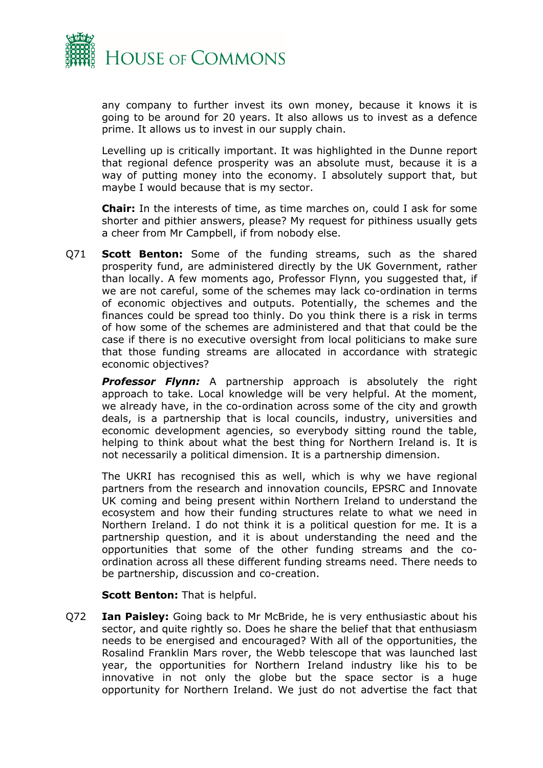

any company to further invest its own money, because it knows it is going to be around for 20 years. It also allows us to invest as a defence prime. It allows us to invest in our supply chain.

Levelling up is critically important. It was highlighted in the Dunne report that regional defence prosperity was an absolute must, because it is a way of putting money into the economy. I absolutely support that, but maybe I would because that is my sector.

**Chair:** In the interests of time, as time marches on, could I ask for some shorter and pithier answers, please? My request for pithiness usually gets a cheer from Mr Campbell, if from nobody else.

Q71 **Scott Benton:** Some of the funding streams, such as the shared prosperity fund, are administered directly by the UK Government, rather than locally. A few moments ago, Professor Flynn, you suggested that, if we are not careful, some of the schemes may lack co-ordination in terms of economic objectives and outputs. Potentially, the schemes and the finances could be spread too thinly. Do you think there is a risk in terms of how some of the schemes are administered and that that could be the case if there is no executive oversight from local politicians to make sure that those funding streams are allocated in accordance with strategic economic objectives?

*Professor Flynn:* A partnership approach is absolutely the right approach to take. Local knowledge will be very helpful. At the moment, we already have, in the co-ordination across some of the city and growth deals, is a partnership that is local councils, industry, universities and economic development agencies, so everybody sitting round the table, helping to think about what the best thing for Northern Ireland is. It is not necessarily a political dimension. It is a partnership dimension.

The UKRI has recognised this as well, which is why we have regional partners from the research and innovation councils, EPSRC and Innovate UK coming and being present within Northern Ireland to understand the ecosystem and how their funding structures relate to what we need in Northern Ireland. I do not think it is a political question for me. It is a partnership question, and it is about understanding the need and the opportunities that some of the other funding streams and the coordination across all these different funding streams need. There needs to be partnership, discussion and co-creation.

**Scott Benton:** That is helpful.

Q72 **Ian Paisley:** Going back to Mr McBride, he is very enthusiastic about his sector, and quite rightly so. Does he share the belief that that enthusiasm needs to be energised and encouraged? With all of the opportunities, the Rosalind Franklin Mars rover, the Webb telescope that was launched last year, the opportunities for Northern Ireland industry like his to be innovative in not only the globe but the space sector is a huge opportunity for Northern Ireland. We just do not advertise the fact that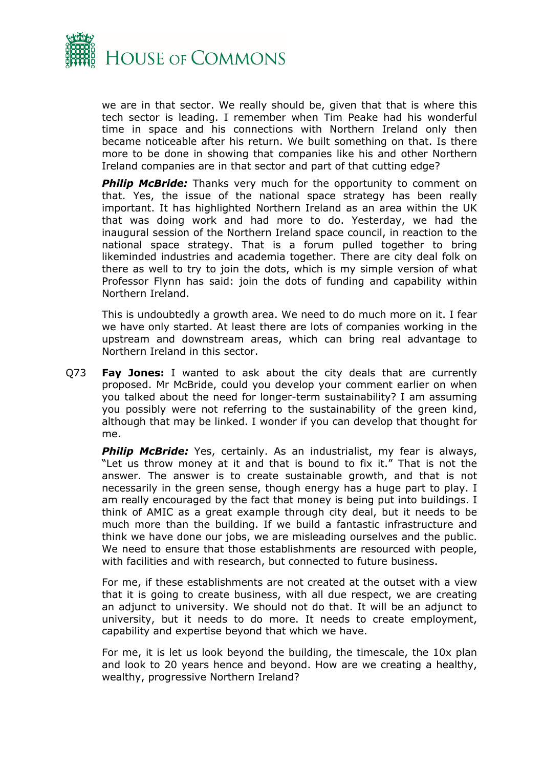

we are in that sector. We really should be, given that that is where this tech sector is leading. I remember when Tim Peake had his wonderful time in space and his connections with Northern Ireland only then became noticeable after his return. We built something on that. Is there more to be done in showing that companies like his and other Northern Ireland companies are in that sector and part of that cutting edge?

**Philip McBride:** Thanks very much for the opportunity to comment on that. Yes, the issue of the national space strategy has been really important. It has highlighted Northern Ireland as an area within the UK that was doing work and had more to do. Yesterday, we had the inaugural session of the Northern Ireland space council, in reaction to the national space strategy. That is a forum pulled together to bring likeminded industries and academia together. There are city deal folk on there as well to try to join the dots, which is my simple version of what Professor Flynn has said: join the dots of funding and capability within Northern Ireland.

This is undoubtedly a growth area. We need to do much more on it. I fear we have only started. At least there are lots of companies working in the upstream and downstream areas, which can bring real advantage to Northern Ireland in this sector.

Q73 **Fay Jones:** I wanted to ask about the city deals that are currently proposed. Mr McBride, could you develop your comment earlier on when you talked about the need for longer-term sustainability? I am assuming you possibly were not referring to the sustainability of the green kind, although that may be linked. I wonder if you can develop that thought for me.

**Philip McBride:** Yes, certainly. As an industrialist, my fear is always, "Let us throw money at it and that is bound to fix it." That is not the answer. The answer is to create sustainable growth, and that is not necessarily in the green sense, though energy has a huge part to play. I am really encouraged by the fact that money is being put into buildings. I think of AMIC as a great example through city deal, but it needs to be much more than the building. If we build a fantastic infrastructure and think we have done our jobs, we are misleading ourselves and the public. We need to ensure that those establishments are resourced with people, with facilities and with research, but connected to future business.

For me, if these establishments are not created at the outset with a view that it is going to create business, with all due respect, we are creating an adjunct to university. We should not do that. It will be an adjunct to university, but it needs to do more. It needs to create employment, capability and expertise beyond that which we have.

For me, it is let us look beyond the building, the timescale, the 10x plan and look to 20 years hence and beyond. How are we creating a healthy, wealthy, progressive Northern Ireland?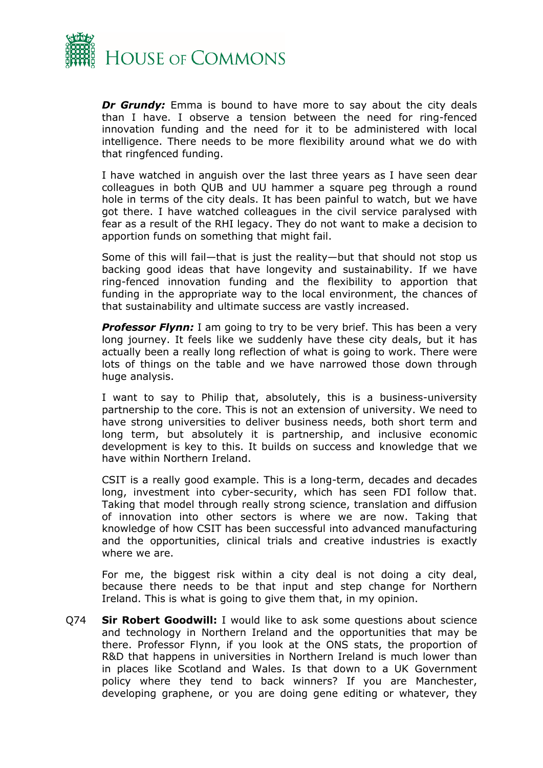

*Dr Grundy:* Emma is bound to have more to say about the city deals than I have. I observe a tension between the need for ring-fenced innovation funding and the need for it to be administered with local intelligence. There needs to be more flexibility around what we do with that ringfenced funding.

I have watched in anguish over the last three years as I have seen dear colleagues in both QUB and UU hammer a square peg through a round hole in terms of the city deals. It has been painful to watch, but we have got there. I have watched colleagues in the civil service paralysed with fear as a result of the RHI legacy. They do not want to make a decision to apportion funds on something that might fail.

Some of this will fail—that is just the reality—but that should not stop us backing good ideas that have longevity and sustainability. If we have ring-fenced innovation funding and the flexibility to apportion that funding in the appropriate way to the local environment, the chances of that sustainability and ultimate success are vastly increased.

**Professor Flynn:** I am going to try to be very brief. This has been a very long journey. It feels like we suddenly have these city deals, but it has actually been a really long reflection of what is going to work. There were lots of things on the table and we have narrowed those down through huge analysis.

I want to say to Philip that, absolutely, this is a business-university partnership to the core. This is not an extension of university. We need to have strong universities to deliver business needs, both short term and long term, but absolutely it is partnership, and inclusive economic development is key to this. It builds on success and knowledge that we have within Northern Ireland.

CSIT is a really good example. This is a long-term, decades and decades long, investment into cyber-security, which has seen FDI follow that. Taking that model through really strong science, translation and diffusion of innovation into other sectors is where we are now. Taking that knowledge of how CSIT has been successful into advanced manufacturing and the opportunities, clinical trials and creative industries is exactly where we are.

For me, the biggest risk within a city deal is not doing a city deal, because there needs to be that input and step change for Northern Ireland. This is what is going to give them that, in my opinion.

Q74 **Sir Robert Goodwill:** I would like to ask some questions about science and technology in Northern Ireland and the opportunities that may be there. Professor Flynn, if you look at the ONS stats, the proportion of R&D that happens in universities in Northern Ireland is much lower than in places like Scotland and Wales. Is that down to a UK Government policy where they tend to back winners? If you are Manchester, developing graphene, or you are doing gene editing or whatever, they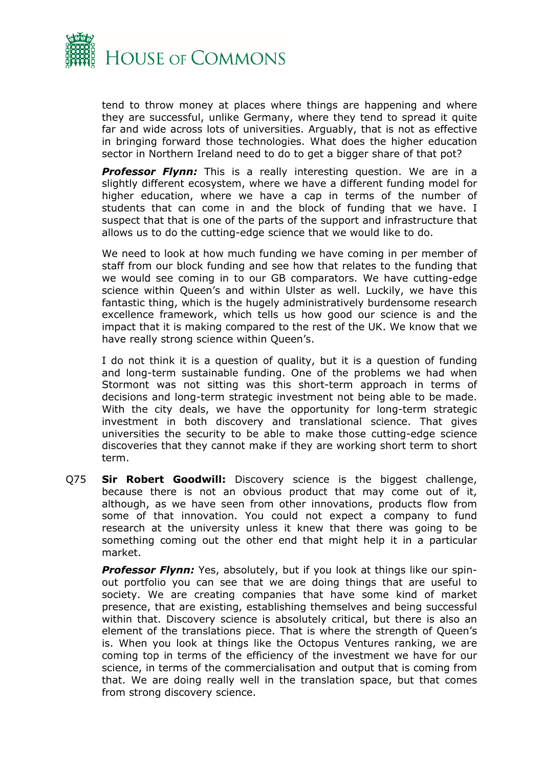

tend to throw money at places where things are happening and where they are successful, unlike Germany, where they tend to spread it quite far and wide across lots of universities. Arguably, that is not as effective in bringing forward those technologies. What does the higher education sector in Northern Ireland need to do to get a bigger share of that pot?

**Professor Flynn:** This is a really interesting question. We are in a slightly different ecosystem, where we have a different funding model for higher education, where we have a cap in terms of the number of students that can come in and the block of funding that we have. I suspect that that is one of the parts of the support and infrastructure that allows us to do the cutting-edge science that we would like to do.

We need to look at how much funding we have coming in per member of staff from our block funding and see how that relates to the funding that we would see coming in to our GB comparators. We have cutting-edge science within Queen's and within Ulster as well. Luckily, we have this fantastic thing, which is the hugely administratively burdensome research excellence framework, which tells us how good our science is and the impact that it is making compared to the rest of the UK. We know that we have really strong science within Queen's.

I do not think it is a question of quality, but it is a question of funding and long-term sustainable funding. One of the problems we had when Stormont was not sitting was this short-term approach in terms of decisions and long-term strategic investment not being able to be made. With the city deals, we have the opportunity for long-term strategic investment in both discovery and translational science. That gives universities the security to be able to make those cutting-edge science discoveries that they cannot make if they are working short term to short term.

Q75 **Sir Robert Goodwill:** Discovery science is the biggest challenge, because there is not an obvious product that may come out of it, although, as we have seen from other innovations, products flow from some of that innovation. You could not expect a company to fund research at the university unless it knew that there was going to be something coming out the other end that might help it in a particular market.

*Professor Flynn:* Yes, absolutely, but if you look at things like our spinout portfolio you can see that we are doing things that are useful to society. We are creating companies that have some kind of market presence, that are existing, establishing themselves and being successful within that. Discovery science is absolutely critical, but there is also an element of the translations piece. That is where the strength of Queen's is. When you look at things like the Octopus Ventures ranking, we are coming top in terms of the efficiency of the investment we have for our science, in terms of the commercialisation and output that is coming from that. We are doing really well in the translation space, but that comes from strong discovery science.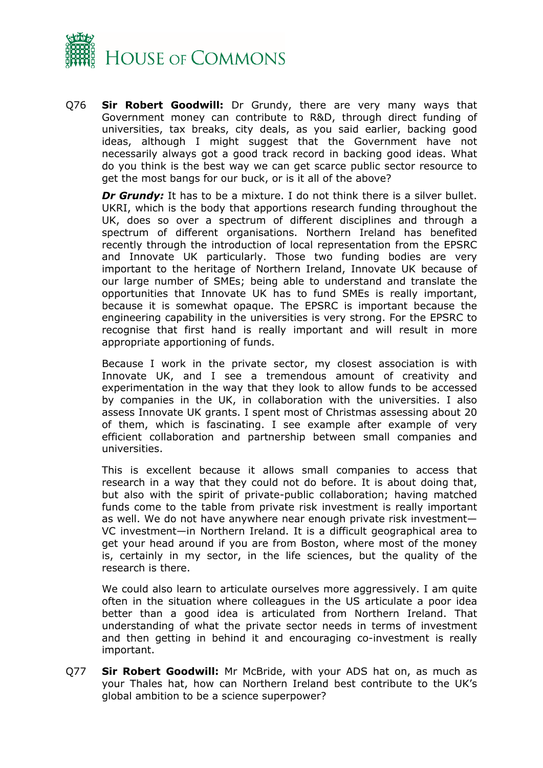

Q76 **Sir Robert Goodwill:** Dr Grundy, there are very many ways that Government money can contribute to R&D, through direct funding of universities, tax breaks, city deals, as you said earlier, backing good ideas, although I might suggest that the Government have not necessarily always got a good track record in backing good ideas. What do you think is the best way we can get scarce public sector resource to get the most bangs for our buck, or is it all of the above?

*Dr Grundy:* It has to be a mixture. I do not think there is a silver bullet. UKRI, which is the body that apportions research funding throughout the UK, does so over a spectrum of different disciplines and through a spectrum of different organisations. Northern Ireland has benefited recently through the introduction of local representation from the EPSRC and Innovate UK particularly. Those two funding bodies are very important to the heritage of Northern Ireland, Innovate UK because of our large number of SMEs; being able to understand and translate the opportunities that Innovate UK has to fund SMEs is really important, because it is somewhat opaque. The EPSRC is important because the engineering capability in the universities is very strong. For the EPSRC to recognise that first hand is really important and will result in more appropriate apportioning of funds.

Because I work in the private sector, my closest association is with Innovate UK, and I see a tremendous amount of creativity and experimentation in the way that they look to allow funds to be accessed by companies in the UK, in collaboration with the universities. I also assess Innovate UK grants. I spent most of Christmas assessing about 20 of them, which is fascinating. I see example after example of very efficient collaboration and partnership between small companies and universities.

This is excellent because it allows small companies to access that research in a way that they could not do before. It is about doing that, but also with the spirit of private-public collaboration; having matched funds come to the table from private risk investment is really important as well. We do not have anywhere near enough private risk investment— VC investment—in Northern Ireland. It is a difficult geographical area to get your head around if you are from Boston, where most of the money is, certainly in my sector, in the life sciences, but the quality of the research is there.

We could also learn to articulate ourselves more aggressively. I am quite often in the situation where colleagues in the US articulate a poor idea better than a good idea is articulated from Northern Ireland. That understanding of what the private sector needs in terms of investment and then getting in behind it and encouraging co-investment is really important.

Q77 **Sir Robert Goodwill:** Mr McBride, with your ADS hat on, as much as your Thales hat, how can Northern Ireland best contribute to the UK's global ambition to be a science superpower?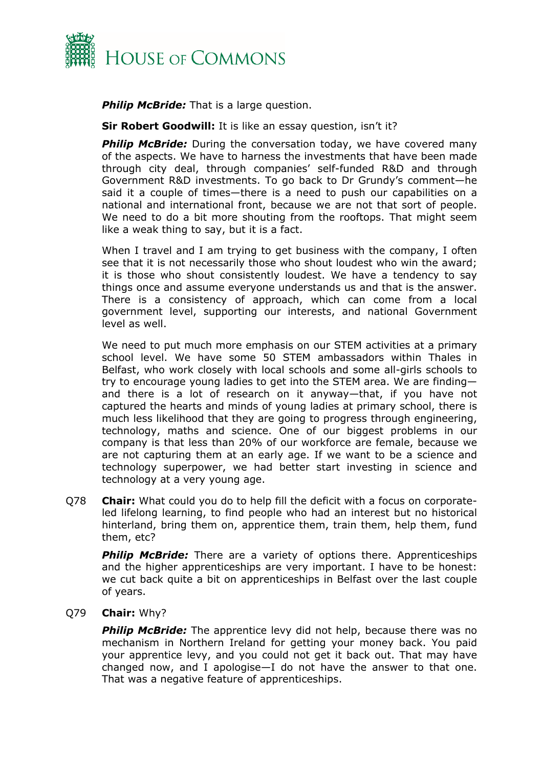

*Philip McBride:* That is a large question.

**Sir Robert Goodwill:** It is like an essay question, isn't it?

**Philip McBride:** During the conversation today, we have covered many of the aspects. We have to harness the investments that have been made through city deal, through companies' self-funded R&D and through Government R&D investments. To go back to Dr Grundy's comment—he said it a couple of times—there is a need to push our capabilities on a national and international front, because we are not that sort of people. We need to do a bit more shouting from the rooftops. That might seem like a weak thing to say, but it is a fact.

When I travel and I am trying to get business with the company, I often see that it is not necessarily those who shout loudest who win the award; it is those who shout consistently loudest. We have a tendency to say things once and assume everyone understands us and that is the answer. There is a consistency of approach, which can come from a local government level, supporting our interests, and national Government level as well.

We need to put much more emphasis on our STEM activities at a primary school level. We have some 50 STEM ambassadors within Thales in Belfast, who work closely with local schools and some all-girls schools to try to encourage young ladies to get into the STEM area. We are finding and there is a lot of research on it anyway—that, if you have not captured the hearts and minds of young ladies at primary school, there is much less likelihood that they are going to progress through engineering, technology, maths and science. One of our biggest problems in our company is that less than 20% of our workforce are female, because we are not capturing them at an early age. If we want to be a science and technology superpower, we had better start investing in science and technology at a very young age.

Q78 **Chair:** What could you do to help fill the deficit with a focus on corporateled lifelong learning, to find people who had an interest but no historical hinterland, bring them on, apprentice them, train them, help them, fund them, etc?

*Philip McBride:* There are a variety of options there. Apprenticeships and the higher apprenticeships are very important. I have to be honest: we cut back quite a bit on apprenticeships in Belfast over the last couple of years.

### Q79 **Chair:** Why?

**Philip McBride:** The apprentice levy did not help, because there was no mechanism in Northern Ireland for getting your money back. You paid your apprentice levy, and you could not get it back out. That may have changed now, and I apologise—I do not have the answer to that one. That was a negative feature of apprenticeships.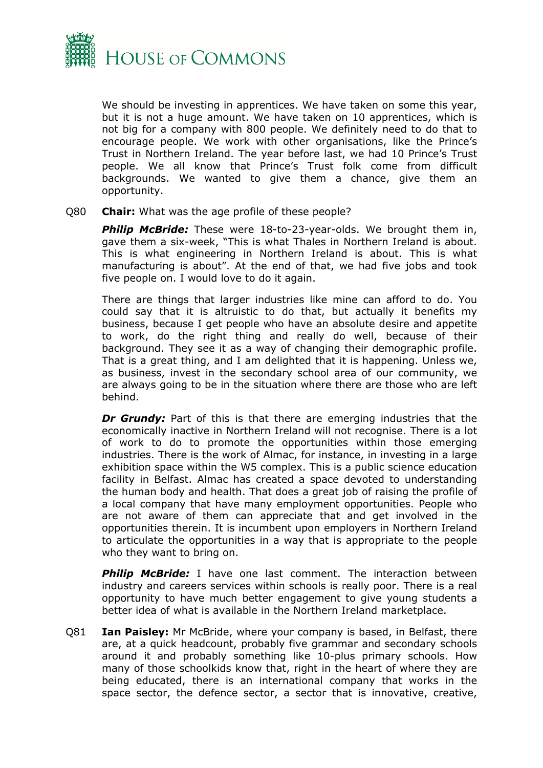

We should be investing in apprentices. We have taken on some this year, but it is not a huge amount. We have taken on 10 apprentices, which is not big for a company with 800 people. We definitely need to do that to encourage people. We work with other organisations, like the Prince's Trust in Northern Ireland. The year before last, we had 10 Prince's Trust people. We all know that Prince's Trust folk come from difficult backgrounds. We wanted to give them a chance, give them an opportunity.

Q80 **Chair:** What was the age profile of these people?

**Philip McBride:** These were 18-to-23-year-olds. We brought them in, gave them a six-week, "This is what Thales in Northern Ireland is about. This is what engineering in Northern Ireland is about. This is what manufacturing is about". At the end of that, we had five jobs and took five people on. I would love to do it again.

There are things that larger industries like mine can afford to do. You could say that it is altruistic to do that, but actually it benefits my business, because I get people who have an absolute desire and appetite to work, do the right thing and really do well, because of their background. They see it as a way of changing their demographic profile. That is a great thing, and I am delighted that it is happening. Unless we, as business, invest in the secondary school area of our community, we are always going to be in the situation where there are those who are left behind.

*Dr Grundy:* Part of this is that there are emerging industries that the economically inactive in Northern Ireland will not recognise. There is a lot of work to do to promote the opportunities within those emerging industries. There is the work of Almac, for instance, in investing in a large exhibition space within the W5 complex. This is a public science education facility in Belfast. Almac has created a space devoted to understanding the human body and health. That does a great job of raising the profile of a local company that have many employment opportunities. People who are not aware of them can appreciate that and get involved in the opportunities therein. It is incumbent upon employers in Northern Ireland to articulate the opportunities in a way that is appropriate to the people who they want to bring on.

**Philip McBride:** I have one last comment. The interaction between industry and careers services within schools is really poor. There is a real opportunity to have much better engagement to give young students a better idea of what is available in the Northern Ireland marketplace.

Q81 **Ian Paisley:** Mr McBride, where your company is based, in Belfast, there are, at a quick headcount, probably five grammar and secondary schools around it and probably something like 10-plus primary schools. How many of those schoolkids know that, right in the heart of where they are being educated, there is an international company that works in the space sector, the defence sector, a sector that is innovative, creative,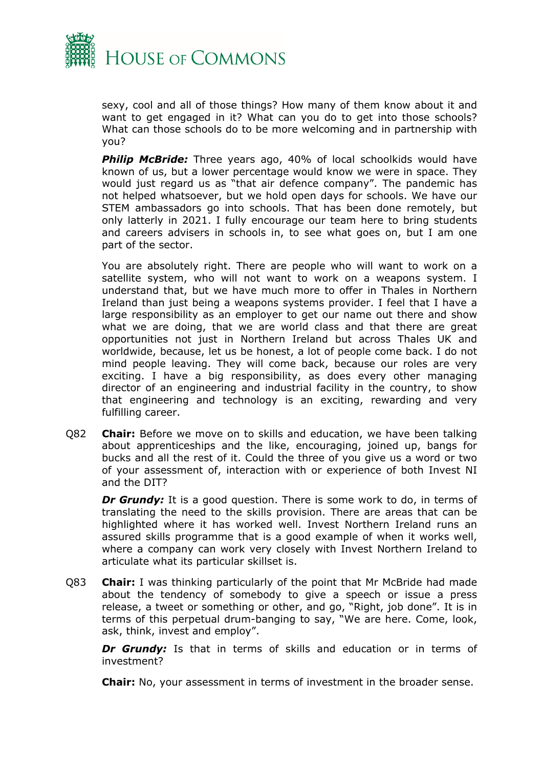

sexy, cool and all of those things? How many of them know about it and want to get engaged in it? What can you do to get into those schools? What can those schools do to be more welcoming and in partnership with you?

**Philip McBride:** Three years ago, 40% of local schoolkids would have known of us, but a lower percentage would know we were in space. They would just regard us as "that air defence company". The pandemic has not helped whatsoever, but we hold open days for schools. We have our STEM ambassadors go into schools. That has been done remotely, but only latterly in 2021. I fully encourage our team here to bring students and careers advisers in schools in, to see what goes on, but I am one part of the sector.

You are absolutely right. There are people who will want to work on a satellite system, who will not want to work on a weapons system. I understand that, but we have much more to offer in Thales in Northern Ireland than just being a weapons systems provider. I feel that I have a large responsibility as an employer to get our name out there and show what we are doing, that we are world class and that there are great opportunities not just in Northern Ireland but across Thales UK and worldwide, because, let us be honest, a lot of people come back. I do not mind people leaving. They will come back, because our roles are very exciting. I have a big responsibility, as does every other managing director of an engineering and industrial facility in the country, to show that engineering and technology is an exciting, rewarding and very fulfilling career.

Q82 **Chair:** Before we move on to skills and education, we have been talking about apprenticeships and the like, encouraging, joined up, bangs for bucks and all the rest of it. Could the three of you give us a word or two of your assessment of, interaction with or experience of both Invest NI and the DIT?

**Dr Grundy:** It is a good question. There is some work to do, in terms of translating the need to the skills provision. There are areas that can be highlighted where it has worked well. Invest Northern Ireland runs an assured skills programme that is a good example of when it works well, where a company can work very closely with Invest Northern Ireland to articulate what its particular skillset is.

Q83 **Chair:** I was thinking particularly of the point that Mr McBride had made about the tendency of somebody to give a speech or issue a press release, a tweet or something or other, and go, "Right, job done". It is in terms of this perpetual drum-banging to say, "We are here. Come, look, ask, think, invest and employ".

*Dr Grundy:* Is that in terms of skills and education or in terms of investment?

**Chair:** No, your assessment in terms of investment in the broader sense.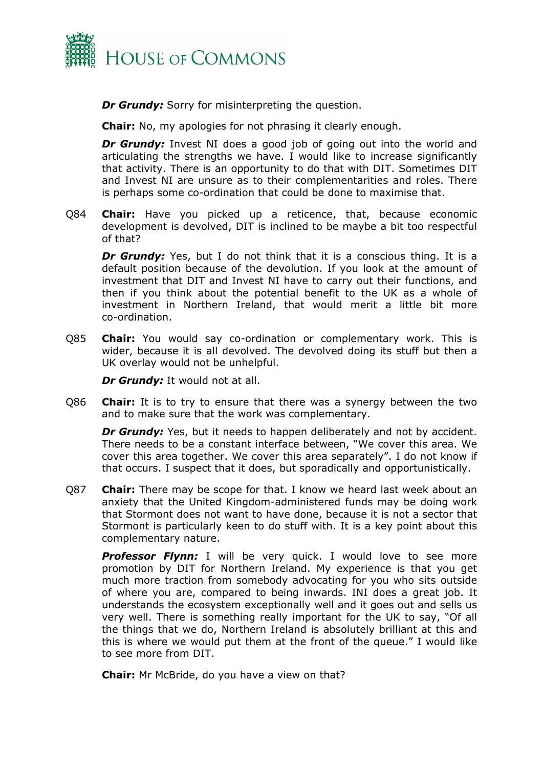

*Dr Grundy:* Sorry for misinterpreting the question.

**Chair:** No, my apologies for not phrasing it clearly enough.

**Dr Grundy:** Invest NI does a good job of going out into the world and articulating the strengths we have. I would like to increase significantly that activity. There is an opportunity to do that with DIT. Sometimes DIT and Invest NI are unsure as to their complementarities and roles. There is perhaps some co-ordination that could be done to maximise that.

Q84 **Chair:** Have you picked up a reticence, that, because economic development is devolved, DIT is inclined to be maybe a bit too respectful of that?

**Dr Grundy:** Yes, but I do not think that it is a conscious thing. It is a default position because of the devolution. If you look at the amount of investment that DIT and Invest NI have to carry out their functions, and then if you think about the potential benefit to the UK as a whole of investment in Northern Ireland, that would merit a little bit more co-ordination.

Q85 **Chair:** You would say co-ordination or complementary work. This is wider, because it is all devolved. The devolved doing its stuff but then a UK overlay would not be unhelpful.

*Dr Grundy:* It would not at all.

Q86 **Chair:** It is to try to ensure that there was a synergy between the two and to make sure that the work was complementary.

*Dr Grundy:* Yes, but it needs to happen deliberately and not by accident. There needs to be a constant interface between, "We cover this area. We cover this area together. We cover this area separately". I do not know if that occurs. I suspect that it does, but sporadically and opportunistically.

Q87 **Chair:** There may be scope for that. I know we heard last week about an anxiety that the United Kingdom-administered funds may be doing work that Stormont does not want to have done, because it is not a sector that Stormont is particularly keen to do stuff with. It is a key point about this complementary nature.

**Professor Flynn:** I will be very quick. I would love to see more promotion by DIT for Northern Ireland. My experience is that you get much more traction from somebody advocating for you who sits outside of where you are, compared to being inwards. INI does a great job. It understands the ecosystem exceptionally well and it goes out and sells us very well. There is something really important for the UK to say, "Of all the things that we do, Northern Ireland is absolutely brilliant at this and this is where we would put them at the front of the queue." I would like to see more from DIT.

**Chair:** Mr McBride, do you have a view on that?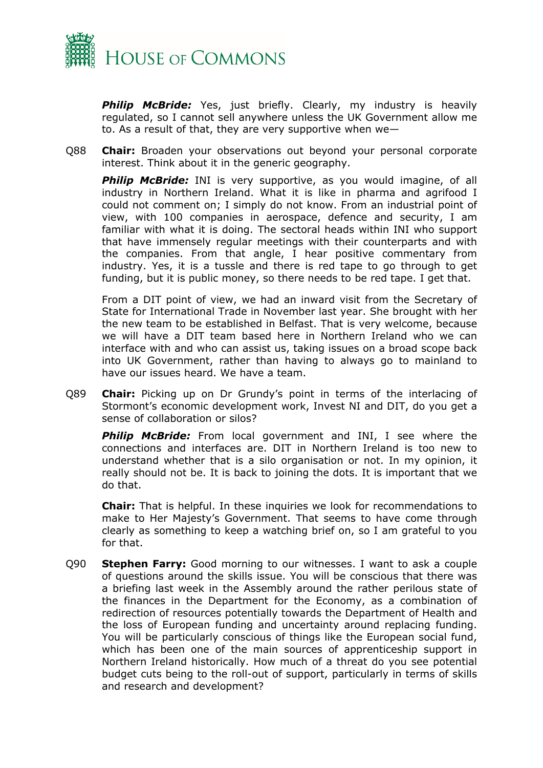

**Philip McBride:** Yes, just briefly. Clearly, my industry is heavily regulated, so I cannot sell anywhere unless the UK Government allow me to. As a result of that, they are very supportive when we—

Q88 **Chair:** Broaden your observations out beyond your personal corporate interest. Think about it in the generic geography.

**Philip McBride:** INI is very supportive, as you would imagine, of all industry in Northern Ireland. What it is like in pharma and agrifood I could not comment on; I simply do not know. From an industrial point of view, with 100 companies in aerospace, defence and security, I am familiar with what it is doing. The sectoral heads within INI who support that have immensely regular meetings with their counterparts and with the companies. From that angle, I hear positive commentary from industry. Yes, it is a tussle and there is red tape to go through to get funding, but it is public money, so there needs to be red tape. I get that.

From a DIT point of view, we had an inward visit from the Secretary of State for International Trade in November last year. She brought with her the new team to be established in Belfast. That is very welcome, because we will have a DIT team based here in Northern Ireland who we can interface with and who can assist us, taking issues on a broad scope back into UK Government, rather than having to always go to mainland to have our issues heard. We have a team.

Q89 **Chair:** Picking up on Dr Grundy's point in terms of the interlacing of Stormont's economic development work, Invest NI and DIT, do you get a sense of collaboration or silos?

*Philip McBride:* From local government and INI, I see where the connections and interfaces are. DIT in Northern Ireland is too new to understand whether that is a silo organisation or not. In my opinion, it really should not be. It is back to joining the dots. It is important that we do that.

**Chair:** That is helpful. In these inquiries we look for recommendations to make to Her Majesty's Government. That seems to have come through clearly as something to keep a watching brief on, so I am grateful to you for that.

Q90 **Stephen Farry:** Good morning to our witnesses. I want to ask a couple of questions around the skills issue. You will be conscious that there was a briefing last week in the Assembly around the rather perilous state of the finances in the Department for the Economy, as a combination of redirection of resources potentially towards the Department of Health and the loss of European funding and uncertainty around replacing funding. You will be particularly conscious of things like the European social fund, which has been one of the main sources of apprenticeship support in Northern Ireland historically. How much of a threat do you see potential budget cuts being to the roll-out of support, particularly in terms of skills and research and development?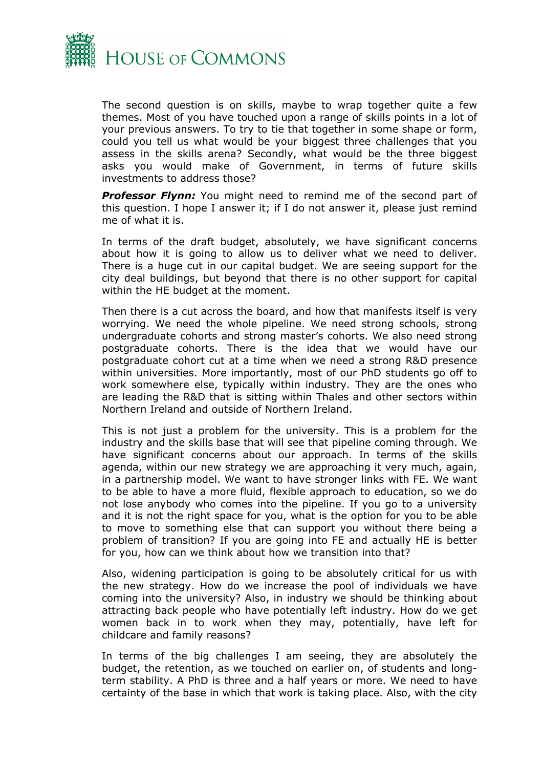

The second question is on skills, maybe to wrap together quite a few themes. Most of you have touched upon a range of skills points in a lot of your previous answers. To try to tie that together in some shape or form, could you tell us what would be your biggest three challenges that you assess in the skills arena? Secondly, what would be the three biggest asks you would make of Government, in terms of future skills investments to address those?

**Professor Flynn:** You might need to remind me of the second part of this question. I hope I answer it; if I do not answer it, please just remind me of what it is.

In terms of the draft budget, absolutely, we have significant concerns about how it is going to allow us to deliver what we need to deliver. There is a huge cut in our capital budget. We are seeing support for the city deal buildings, but beyond that there is no other support for capital within the HE budget at the moment.

Then there is a cut across the board, and how that manifests itself is very worrying. We need the whole pipeline. We need strong schools, strong undergraduate cohorts and strong master's cohorts. We also need strong postgraduate cohorts. There is the idea that we would have our postgraduate cohort cut at a time when we need a strong R&D presence within universities. More importantly, most of our PhD students go off to work somewhere else, typically within industry. They are the ones who are leading the R&D that is sitting within Thales and other sectors within Northern Ireland and outside of Northern Ireland.

This is not just a problem for the university. This is a problem for the industry and the skills base that will see that pipeline coming through. We have significant concerns about our approach. In terms of the skills agenda, within our new strategy we are approaching it very much, again, in a partnership model. We want to have stronger links with FE. We want to be able to have a more fluid, flexible approach to education, so we do not lose anybody who comes into the pipeline. If you go to a university and it is not the right space for you, what is the option for you to be able to move to something else that can support you without there being a problem of transition? If you are going into FE and actually HE is better for you, how can we think about how we transition into that?

Also, widening participation is going to be absolutely critical for us with the new strategy. How do we increase the pool of individuals we have coming into the university? Also, in industry we should be thinking about attracting back people who have potentially left industry. How do we get women back in to work when they may, potentially, have left for childcare and family reasons?

In terms of the big challenges I am seeing, they are absolutely the budget, the retention, as we touched on earlier on, of students and longterm stability. A PhD is three and a half years or more. We need to have certainty of the base in which that work is taking place. Also, with the city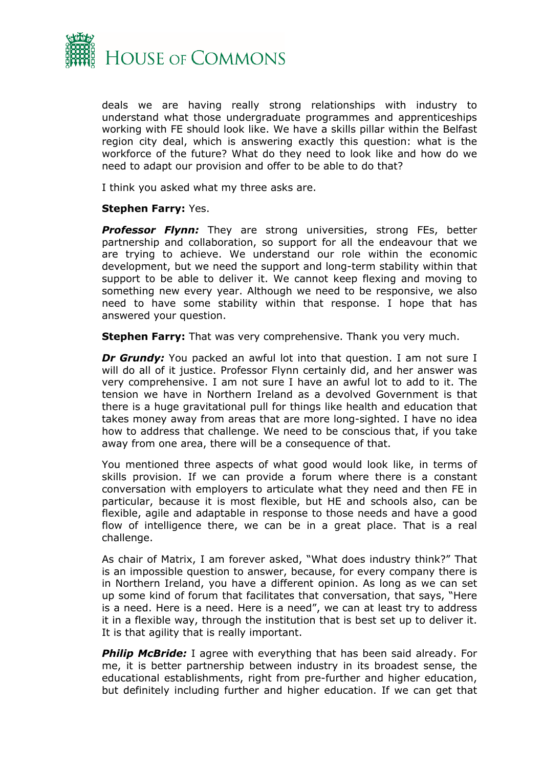

deals we are having really strong relationships with industry to understand what those undergraduate programmes and apprenticeships working with FE should look like. We have a skills pillar within the Belfast region city deal, which is answering exactly this question: what is the workforce of the future? What do they need to look like and how do we need to adapt our provision and offer to be able to do that?

I think you asked what my three asks are.

### **Stephen Farry:** Yes.

**Professor Flynn:** They are strong universities, strong FEs, better partnership and collaboration, so support for all the endeavour that we are trying to achieve. We understand our role within the economic development, but we need the support and long-term stability within that support to be able to deliver it. We cannot keep flexing and moving to something new every year. Although we need to be responsive, we also need to have some stability within that response. I hope that has answered your question.

**Stephen Farry:** That was very comprehensive. Thank you very much.

**Dr Grundy:** You packed an awful lot into that question. I am not sure I will do all of it justice. Professor Flynn certainly did, and her answer was very comprehensive. I am not sure I have an awful lot to add to it. The tension we have in Northern Ireland as a devolved Government is that there is a huge gravitational pull for things like health and education that takes money away from areas that are more long-sighted. I have no idea how to address that challenge. We need to be conscious that, if you take away from one area, there will be a consequence of that.

You mentioned three aspects of what good would look like, in terms of skills provision. If we can provide a forum where there is a constant conversation with employers to articulate what they need and then FE in particular, because it is most flexible, but HE and schools also, can be flexible, agile and adaptable in response to those needs and have a good flow of intelligence there, we can be in a great place. That is a real challenge.

As chair of Matrix, I am forever asked, "What does industry think?" That is an impossible question to answer, because, for every company there is in Northern Ireland, you have a different opinion. As long as we can set up some kind of forum that facilitates that conversation, that says, "Here is a need. Here is a need. Here is a need", we can at least try to address it in a flexible way, through the institution that is best set up to deliver it. It is that agility that is really important.

**Philip McBride:** I agree with everything that has been said already. For me, it is better partnership between industry in its broadest sense, the educational establishments, right from pre-further and higher education, but definitely including further and higher education. If we can get that